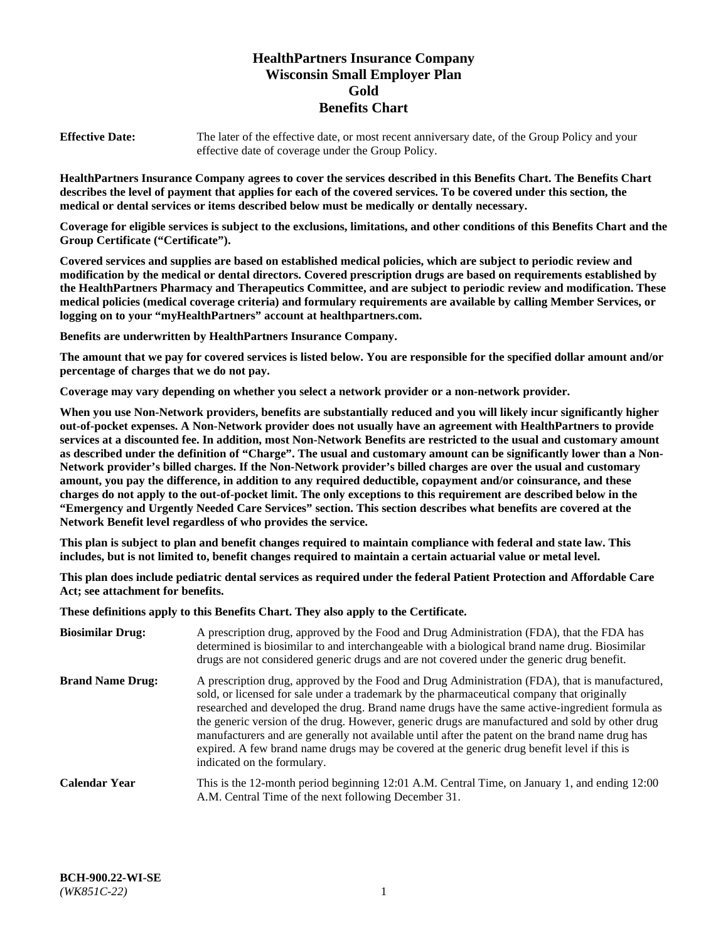# **HealthPartners Insurance Company Wisconsin Small Employer Plan Gold Benefits Chart**

**Effective Date:** The later of the effective date, or most recent anniversary date, of the Group Policy and your effective date of coverage under the Group Policy.

**HealthPartners Insurance Company agrees to cover the services described in this Benefits Chart. The Benefits Chart describes the level of payment that applies for each of the covered services. To be covered under this section, the medical or dental services or items described below must be medically or dentally necessary.**

**Coverage for eligible services is subject to the exclusions, limitations, and other conditions of this Benefits Chart and the Group Certificate ("Certificate").**

**Covered services and supplies are based on established medical policies, which are subject to periodic review and modification by the medical or dental directors. Covered prescription drugs are based on requirements established by the HealthPartners Pharmacy and Therapeutics Committee, and are subject to periodic review and modification. These medical policies (medical coverage criteria) and formulary requirements are available by calling Member Services, or logging on to your "myHealthPartners" account at [healthpartners.com.](https://www.healthpartners.com/hp/index.html)** 

**Benefits are underwritten by HealthPartners Insurance Company.**

**The amount that we pay for covered services is listed below. You are responsible for the specified dollar amount and/or percentage of charges that we do not pay.**

**Coverage may vary depending on whether you select a network provider or a non-network provider.**

**When you use Non-Network providers, benefits are substantially reduced and you will likely incur significantly higher out-of-pocket expenses. A Non-Network provider does not usually have an agreement with HealthPartners to provide services at a discounted fee. In addition, most Non-Network Benefits are restricted to the usual and customary amount as described under the definition of "Charge". The usual and customary amount can be significantly lower than a Non-Network provider's billed charges. If the Non-Network provider's billed charges are over the usual and customary amount, you pay the difference, in addition to any required deductible, copayment and/or coinsurance, and these charges do not apply to the out-of-pocket limit. The only exceptions to this requirement are described below in the "Emergency and Urgently Needed Care Services" section. This section describes what benefits are covered at the Network Benefit level regardless of who provides the service.**

**This plan is subject to plan and benefit changes required to maintain compliance with federal and state law. This includes, but is not limited to, benefit changes required to maintain a certain actuarial value or metal level.**

**This plan does include pediatric dental services as required under the federal Patient Protection and Affordable Care Act; see attachment for benefits.**

**These definitions apply to this Benefits Chart. They also apply to the Certificate.**

| <b>Biosimilar Drug:</b> | A prescription drug, approved by the Food and Drug Administration (FDA), that the FDA has<br>determined is biosimilar to and interchangeable with a biological brand name drug. Biosimilar<br>drugs are not considered generic drugs and are not covered under the generic drug benefit.                                                                                                                                                                                                                                                                                                                                           |
|-------------------------|------------------------------------------------------------------------------------------------------------------------------------------------------------------------------------------------------------------------------------------------------------------------------------------------------------------------------------------------------------------------------------------------------------------------------------------------------------------------------------------------------------------------------------------------------------------------------------------------------------------------------------|
| <b>Brand Name Drug:</b> | A prescription drug, approved by the Food and Drug Administration (FDA), that is manufactured,<br>sold, or licensed for sale under a trademark by the pharmaceutical company that originally<br>researched and developed the drug. Brand name drugs have the same active-ingredient formula as<br>the generic version of the drug. However, generic drugs are manufactured and sold by other drug<br>manufacturers and are generally not available until after the patent on the brand name drug has<br>expired. A few brand name drugs may be covered at the generic drug benefit level if this is<br>indicated on the formulary. |
| <b>Calendar Year</b>    | This is the 12-month period beginning 12:01 A.M. Central Time, on January 1, and ending 12:00<br>A.M. Central Time of the next following December 31.                                                                                                                                                                                                                                                                                                                                                                                                                                                                              |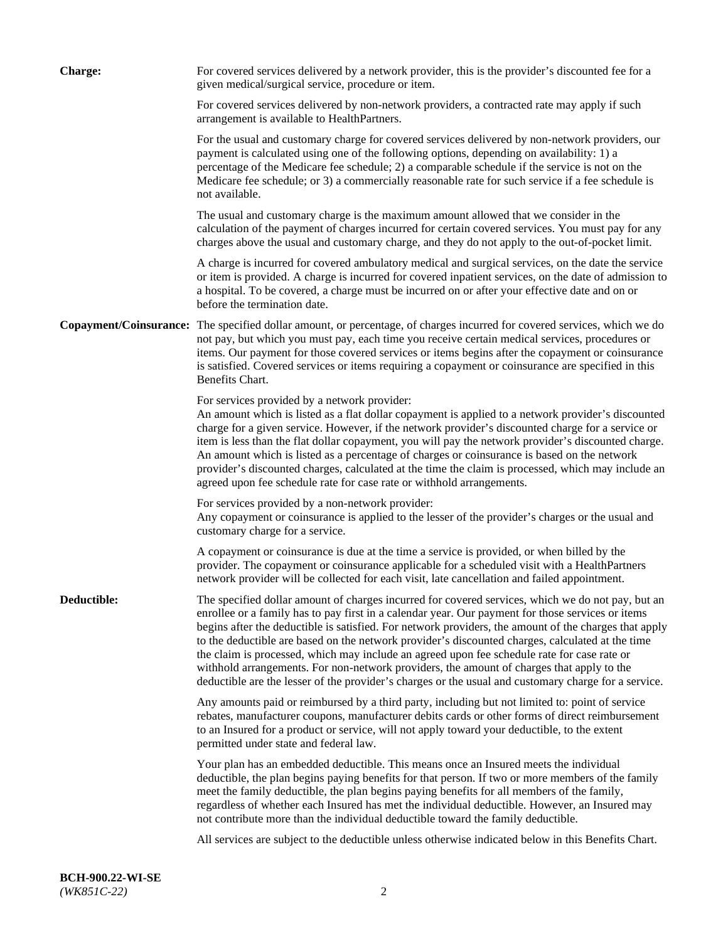| <b>Charge:</b> | For covered services delivered by a network provider, this is the provider's discounted fee for a<br>given medical/surgical service, procedure or item.                                                                                                                                                                                                                                                                                                                                                                                                                                                                                                                                                                 |
|----------------|-------------------------------------------------------------------------------------------------------------------------------------------------------------------------------------------------------------------------------------------------------------------------------------------------------------------------------------------------------------------------------------------------------------------------------------------------------------------------------------------------------------------------------------------------------------------------------------------------------------------------------------------------------------------------------------------------------------------------|
|                | For covered services delivered by non-network providers, a contracted rate may apply if such<br>arrangement is available to HealthPartners.                                                                                                                                                                                                                                                                                                                                                                                                                                                                                                                                                                             |
|                | For the usual and customary charge for covered services delivered by non-network providers, our<br>payment is calculated using one of the following options, depending on availability: 1) a<br>percentage of the Medicare fee schedule; 2) a comparable schedule if the service is not on the<br>Medicare fee schedule; or 3) a commercially reasonable rate for such service if a fee schedule is<br>not available.                                                                                                                                                                                                                                                                                                   |
|                | The usual and customary charge is the maximum amount allowed that we consider in the<br>calculation of the payment of charges incurred for certain covered services. You must pay for any<br>charges above the usual and customary charge, and they do not apply to the out-of-pocket limit.                                                                                                                                                                                                                                                                                                                                                                                                                            |
|                | A charge is incurred for covered ambulatory medical and surgical services, on the date the service<br>or item is provided. A charge is incurred for covered inpatient services, on the date of admission to<br>a hospital. To be covered, a charge must be incurred on or after your effective date and on or<br>before the termination date.                                                                                                                                                                                                                                                                                                                                                                           |
|                | Copayment/Coinsurance: The specified dollar amount, or percentage, of charges incurred for covered services, which we do<br>not pay, but which you must pay, each time you receive certain medical services, procedures or<br>items. Our payment for those covered services or items begins after the copayment or coinsurance<br>is satisfied. Covered services or items requiring a copayment or coinsurance are specified in this<br>Benefits Chart.                                                                                                                                                                                                                                                                 |
|                | For services provided by a network provider:<br>An amount which is listed as a flat dollar copayment is applied to a network provider's discounted<br>charge for a given service. However, if the network provider's discounted charge for a service or<br>item is less than the flat dollar copayment, you will pay the network provider's discounted charge.<br>An amount which is listed as a percentage of charges or coinsurance is based on the network<br>provider's discounted charges, calculated at the time the claim is processed, which may include an<br>agreed upon fee schedule rate for case rate or withhold arrangements.                                                                            |
|                | For services provided by a non-network provider:<br>Any copayment or coinsurance is applied to the lesser of the provider's charges or the usual and<br>customary charge for a service.                                                                                                                                                                                                                                                                                                                                                                                                                                                                                                                                 |
|                | A copayment or coinsurance is due at the time a service is provided, or when billed by the<br>provider. The copayment or coinsurance applicable for a scheduled visit with a HealthPartners<br>network provider will be collected for each visit, late cancellation and failed appointment.                                                                                                                                                                                                                                                                                                                                                                                                                             |
| Deductible:    | The specified dollar amount of charges incurred for covered services, which we do not pay, but an<br>enrollee or a family has to pay first in a calendar year. Our payment for those services or items<br>begins after the deductible is satisfied. For network providers, the amount of the charges that apply<br>to the deductible are based on the network provider's discounted charges, calculated at the time<br>the claim is processed, which may include an agreed upon fee schedule rate for case rate or<br>withhold arrangements. For non-network providers, the amount of charges that apply to the<br>deductible are the lesser of the provider's charges or the usual and customary charge for a service. |
|                | Any amounts paid or reimbursed by a third party, including but not limited to: point of service<br>rebates, manufacturer coupons, manufacturer debits cards or other forms of direct reimbursement<br>to an Insured for a product or service, will not apply toward your deductible, to the extent<br>permitted under state and federal law.                                                                                                                                                                                                                                                                                                                                                                            |
|                | Your plan has an embedded deductible. This means once an Insured meets the individual<br>deductible, the plan begins paying benefits for that person. If two or more members of the family<br>meet the family deductible, the plan begins paying benefits for all members of the family,<br>regardless of whether each Insured has met the individual deductible. However, an Insured may<br>not contribute more than the individual deductible toward the family deductible.                                                                                                                                                                                                                                           |
|                | All services are subject to the deductible unless otherwise indicated below in this Benefits Chart.                                                                                                                                                                                                                                                                                                                                                                                                                                                                                                                                                                                                                     |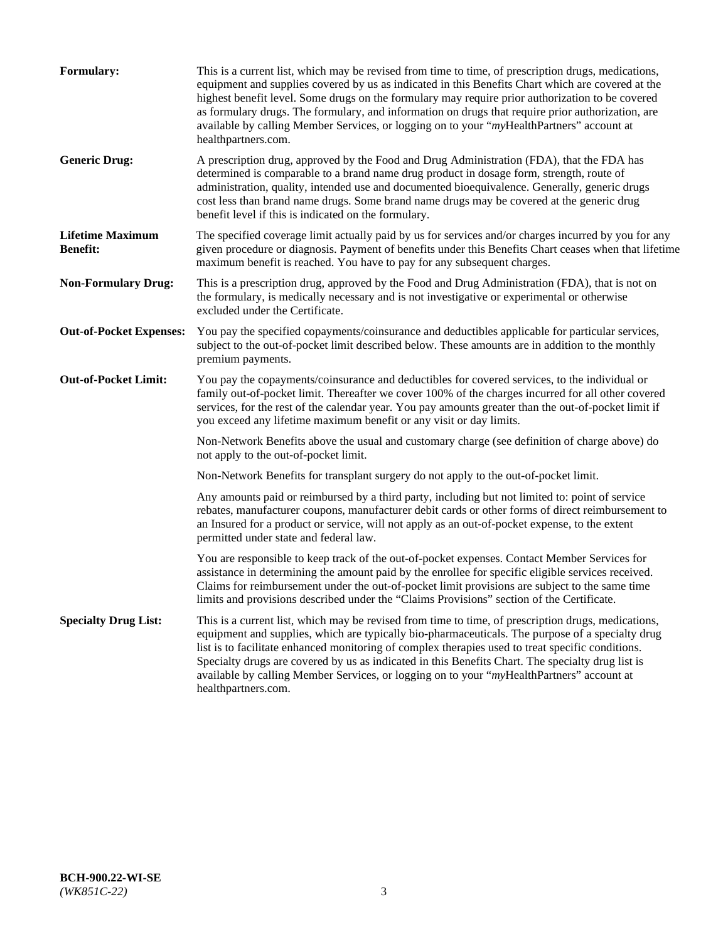| <b>Formulary:</b>                          | This is a current list, which may be revised from time to time, of prescription drugs, medications,<br>equipment and supplies covered by us as indicated in this Benefits Chart which are covered at the<br>highest benefit level. Some drugs on the formulary may require prior authorization to be covered<br>as formulary drugs. The formulary, and information on drugs that require prior authorization, are<br>available by calling Member Services, or logging on to your "myHealthPartners" account at<br>healthpartners.com. |
|--------------------------------------------|---------------------------------------------------------------------------------------------------------------------------------------------------------------------------------------------------------------------------------------------------------------------------------------------------------------------------------------------------------------------------------------------------------------------------------------------------------------------------------------------------------------------------------------|
| <b>Generic Drug:</b>                       | A prescription drug, approved by the Food and Drug Administration (FDA), that the FDA has<br>determined is comparable to a brand name drug product in dosage form, strength, route of<br>administration, quality, intended use and documented bioequivalence. Generally, generic drugs<br>cost less than brand name drugs. Some brand name drugs may be covered at the generic drug<br>benefit level if this is indicated on the formulary.                                                                                           |
| <b>Lifetime Maximum</b><br><b>Benefit:</b> | The specified coverage limit actually paid by us for services and/or charges incurred by you for any<br>given procedure or diagnosis. Payment of benefits under this Benefits Chart ceases when that lifetime<br>maximum benefit is reached. You have to pay for any subsequent charges.                                                                                                                                                                                                                                              |
| <b>Non-Formulary Drug:</b>                 | This is a prescription drug, approved by the Food and Drug Administration (FDA), that is not on<br>the formulary, is medically necessary and is not investigative or experimental or otherwise<br>excluded under the Certificate.                                                                                                                                                                                                                                                                                                     |
| <b>Out-of-Pocket Expenses:</b>             | You pay the specified copayments/coinsurance and deductibles applicable for particular services,<br>subject to the out-of-pocket limit described below. These amounts are in addition to the monthly<br>premium payments.                                                                                                                                                                                                                                                                                                             |
| <b>Out-of-Pocket Limit:</b>                | You pay the copayments/coinsurance and deductibles for covered services, to the individual or<br>family out-of-pocket limit. Thereafter we cover 100% of the charges incurred for all other covered<br>services, for the rest of the calendar year. You pay amounts greater than the out-of-pocket limit if<br>you exceed any lifetime maximum benefit or any visit or day limits.                                                                                                                                                    |
|                                            | Non-Network Benefits above the usual and customary charge (see definition of charge above) do<br>not apply to the out-of-pocket limit.                                                                                                                                                                                                                                                                                                                                                                                                |
|                                            | Non-Network Benefits for transplant surgery do not apply to the out-of-pocket limit.                                                                                                                                                                                                                                                                                                                                                                                                                                                  |
|                                            | Any amounts paid or reimbursed by a third party, including but not limited to: point of service<br>rebates, manufacturer coupons, manufacturer debit cards or other forms of direct reimbursement to<br>an Insured for a product or service, will not apply as an out-of-pocket expense, to the extent<br>permitted under state and federal law.                                                                                                                                                                                      |
|                                            | You are responsible to keep track of the out-of-pocket expenses. Contact Member Services for<br>assistance in determining the amount paid by the enrollee for specific eligible services received.<br>Claims for reimbursement under the out-of-pocket limit provisions are subject to the same time<br>limits and provisions described under the "Claims Provisions" section of the Certificate.                                                                                                                                     |
| <b>Specialty Drug List:</b>                | This is a current list, which may be revised from time to time, of prescription drugs, medications,<br>equipment and supplies, which are typically bio-pharmaceuticals. The purpose of a specialty drug<br>list is to facilitate enhanced monitoring of complex therapies used to treat specific conditions.<br>Specialty drugs are covered by us as indicated in this Benefits Chart. The specialty drug list is<br>available by calling Member Services, or logging on to your "myHealthPartners" account at<br>healthpartners.com. |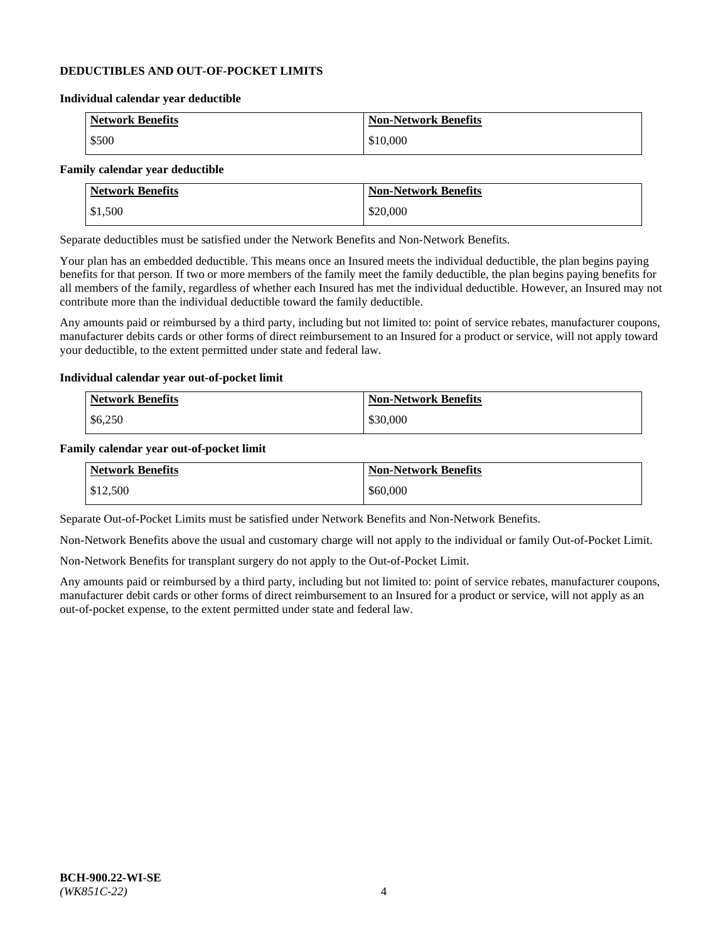#### **DEDUCTIBLES AND OUT-OF-POCKET LIMITS**

#### **Individual calendar year deductible**

| <b>Network Benefits</b> | <b>Non-Network Benefits</b> |
|-------------------------|-----------------------------|
| \$500                   | \$10,000                    |

#### **Family calendar year deductible**

| <b>Network Benefits</b> | <b>Non-Network Benefits</b> |
|-------------------------|-----------------------------|
| \$1,500                 | \$20,000                    |

Separate deductibles must be satisfied under the Network Benefits and Non-Network Benefits.

Your plan has an embedded deductible. This means once an Insured meets the individual deductible, the plan begins paying benefits for that person. If two or more members of the family meet the family deductible, the plan begins paying benefits for all members of the family, regardless of whether each Insured has met the individual deductible. However, an Insured may not contribute more than the individual deductible toward the family deductible.

Any amounts paid or reimbursed by a third party, including but not limited to: point of service rebates, manufacturer coupons, manufacturer debits cards or other forms of direct reimbursement to an Insured for a product or service, will not apply toward your deductible, to the extent permitted under state and federal law.

#### **Individual calendar year out-of-pocket limit**

| Network Benefits | <b>Non-Network Benefits</b> |
|------------------|-----------------------------|
| \$6,250          | \$30,000                    |

#### **Family calendar year out-of-pocket limit**

| <b>Network Benefits</b> | <b>Non-Network Benefits</b> |
|-------------------------|-----------------------------|
| \$12,500                | \$60,000                    |

Separate Out-of-Pocket Limits must be satisfied under Network Benefits and Non-Network Benefits.

Non-Network Benefits above the usual and customary charge will not apply to the individual or family Out-of-Pocket Limit.

Non-Network Benefits for transplant surgery do not apply to the Out-of-Pocket Limit.

Any amounts paid or reimbursed by a third party, including but not limited to: point of service rebates, manufacturer coupons, manufacturer debit cards or other forms of direct reimbursement to an Insured for a product or service, will not apply as an out-of-pocket expense, to the extent permitted under state and federal law.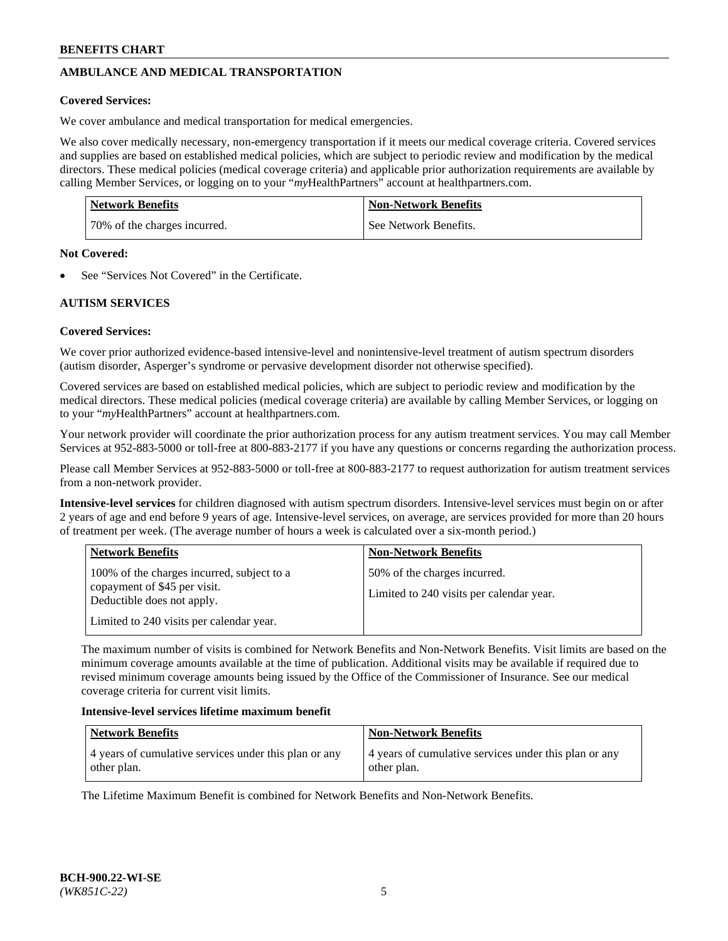# **AMBULANCE AND MEDICAL TRANSPORTATION**

#### **Covered Services:**

We cover ambulance and medical transportation for medical emergencies.

We also cover medically necessary, non-emergency transportation if it meets our medical coverage criteria. Covered services and supplies are based on established medical policies, which are subject to periodic review and modification by the medical directors. These medical policies (medical coverage criteria) and applicable prior authorization requirements are available by calling Member Services, or logging on to your "*my*HealthPartners" account a[t healthpartners.com.](https://www.healthpartners.com/hp/index.html)

| <b>Network Benefits</b>      | <b>Non-Network Benefits</b> |
|------------------------------|-----------------------------|
| 70% of the charges incurred. | See Network Benefits.       |

#### **Not Covered:**

See "Services Not Covered" in the Certificate.

## **AUTISM SERVICES**

## **Covered Services:**

We cover prior authorized evidence-based intensive-level and nonintensive-level treatment of autism spectrum disorders (autism disorder, Asperger's syndrome or pervasive development disorder not otherwise specified).

Covered services are based on established medical policies, which are subject to periodic review and modification by the medical directors. These medical policies (medical coverage criteria) are available by calling Member Services, or logging on to your "*my*HealthPartners" account at [healthpartners.com.](https://www.healthpartners.com/hp/index.html)

Your network provider will coordinate the prior authorization process for any autism treatment services. You may call Member Services at 952-883-5000 or toll-free at 800-883-2177 if you have any questions or concerns regarding the authorization process.

Please call Member Services at 952-883-5000 or toll-free at 800-883-2177 to request authorization for autism treatment services from a non-network provider.

**Intensive-level services** for children diagnosed with autism spectrum disorders. Intensive-level services must begin on or after 2 years of age and end before 9 years of age. Intensive-level services, on average, are services provided for more than 20 hours of treatment per week. (The average number of hours a week is calculated over a six-month period.)

| <b>Network Benefits</b>                                                                                                                              | <b>Non-Network Benefits</b>                                              |
|------------------------------------------------------------------------------------------------------------------------------------------------------|--------------------------------------------------------------------------|
| 100% of the charges incurred, subject to a<br>copayment of \$45 per visit.<br>Deductible does not apply.<br>Limited to 240 visits per calendar year. | 50% of the charges incurred.<br>Limited to 240 visits per calendar year. |

The maximum number of visits is combined for Network Benefits and Non-Network Benefits. Visit limits are based on the minimum coverage amounts available at the time of publication. Additional visits may be available if required due to revised minimum coverage amounts being issued by the Office of the Commissioner of Insurance. See our medical coverage criteria for current visit limits.

#### **Intensive-level services lifetime maximum benefit**

| <b>Network Benefits</b>                                              | <b>Non-Network Benefits</b>                                          |
|----------------------------------------------------------------------|----------------------------------------------------------------------|
| 4 years of cumulative services under this plan or any<br>other plan. | 4 years of cumulative services under this plan or any<br>other plan. |

The Lifetime Maximum Benefit is combined for Network Benefits and Non-Network Benefits.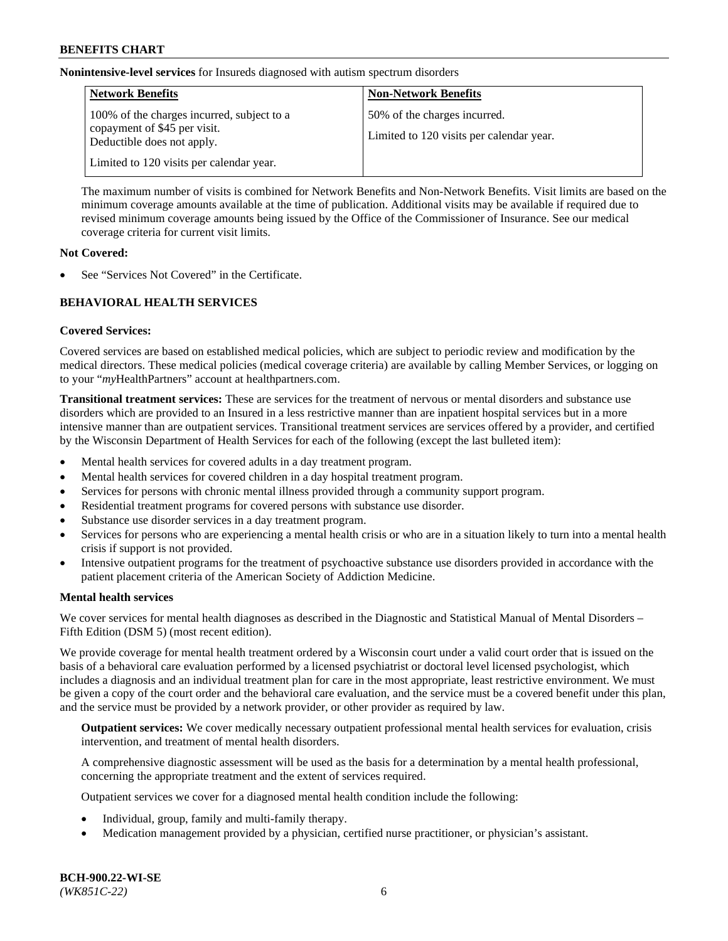**Nonintensive-level services** for Insureds diagnosed with autism spectrum disorders

| <b>Network Benefits</b>                                                                                  | <b>Non-Network Benefits</b>                                              |
|----------------------------------------------------------------------------------------------------------|--------------------------------------------------------------------------|
| 100% of the charges incurred, subject to a<br>copayment of \$45 per visit.<br>Deductible does not apply. | 50% of the charges incurred.<br>Limited to 120 visits per calendar year. |
| Limited to 120 visits per calendar year.                                                                 |                                                                          |

The maximum number of visits is combined for Network Benefits and Non-Network Benefits. Visit limits are based on the minimum coverage amounts available at the time of publication. Additional visits may be available if required due to revised minimum coverage amounts being issued by the Office of the Commissioner of Insurance. See our medical coverage criteria for current visit limits.

#### **Not Covered:**

See "Services Not Covered" in the Certificate.

## **BEHAVIORAL HEALTH SERVICES**

## **Covered Services:**

Covered services are based on established medical policies, which are subject to periodic review and modification by the medical directors. These medical policies (medical coverage criteria) are available by calling Member Services, or logging on to your "*my*HealthPartners" account at [healthpartners.com.](https://www.healthpartners.com/hp/index.html)

**Transitional treatment services:** These are services for the treatment of nervous or mental disorders and substance use disorders which are provided to an Insured in a less restrictive manner than are inpatient hospital services but in a more intensive manner than are outpatient services. Transitional treatment services are services offered by a provider, and certified by the Wisconsin Department of Health Services for each of the following (except the last bulleted item):

- Mental health services for covered adults in a day treatment program.
- Mental health services for covered children in a day hospital treatment program.
- Services for persons with chronic mental illness provided through a community support program.
- Residential treatment programs for covered persons with substance use disorder.
- Substance use disorder services in a day treatment program.
- Services for persons who are experiencing a mental health crisis or who are in a situation likely to turn into a mental health crisis if support is not provided.
- Intensive outpatient programs for the treatment of psychoactive substance use disorders provided in accordance with the patient placement criteria of the American Society of Addiction Medicine.

## **Mental health services**

We cover services for mental health diagnoses as described in the Diagnostic and Statistical Manual of Mental Disorders – Fifth Edition (DSM 5) (most recent edition).

We provide coverage for mental health treatment ordered by a Wisconsin court under a valid court order that is issued on the basis of a behavioral care evaluation performed by a licensed psychiatrist or doctoral level licensed psychologist, which includes a diagnosis and an individual treatment plan for care in the most appropriate, least restrictive environment. We must be given a copy of the court order and the behavioral care evaluation, and the service must be a covered benefit under this plan, and the service must be provided by a network provider, or other provider as required by law.

**Outpatient services:** We cover medically necessary outpatient professional mental health services for evaluation, crisis intervention, and treatment of mental health disorders.

A comprehensive diagnostic assessment will be used as the basis for a determination by a mental health professional, concerning the appropriate treatment and the extent of services required.

Outpatient services we cover for a diagnosed mental health condition include the following:

- Individual, group, family and multi-family therapy.
- Medication management provided by a physician, certified nurse practitioner, or physician's assistant.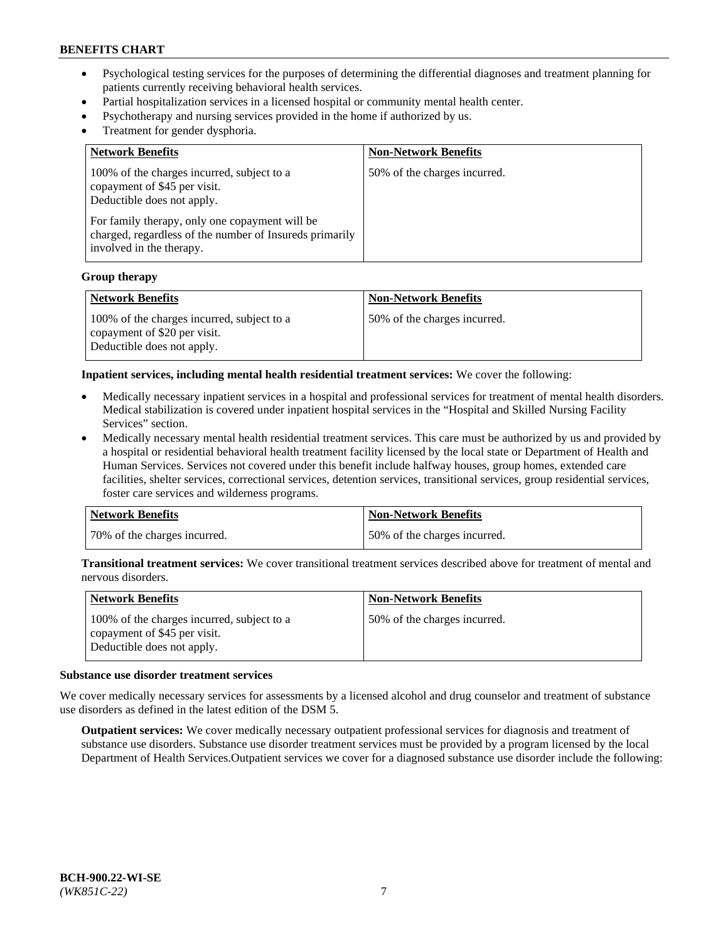- Psychological testing services for the purposes of determining the differential diagnoses and treatment planning for patients currently receiving behavioral health services.
- Partial hospitalization services in a licensed hospital or community mental health center.
- Psychotherapy and nursing services provided in the home if authorized by us.
- Treatment for gender dysphoria.

| <b>Network Benefits</b>                                                                                                                                                                                                                           | <b>Non-Network Benefits</b>  |
|---------------------------------------------------------------------------------------------------------------------------------------------------------------------------------------------------------------------------------------------------|------------------------------|
| 100% of the charges incurred, subject to a<br>copayment of \$45 per visit.<br>Deductible does not apply.<br>For family therapy, only one copayment will be<br>charged, regardless of the number of Insureds primarily<br>involved in the therapy. | 50% of the charges incurred. |

#### **Group therapy**

| Network Benefits                                                                                         | <b>Non-Network Benefits</b>  |
|----------------------------------------------------------------------------------------------------------|------------------------------|
| 100% of the charges incurred, subject to a<br>copayment of \$20 per visit.<br>Deductible does not apply. | 50% of the charges incurred. |

**Inpatient services, including mental health residential treatment services:** We cover the following:

- Medically necessary inpatient services in a hospital and professional services for treatment of mental health disorders. Medical stabilization is covered under inpatient hospital services in the "Hospital and Skilled Nursing Facility Services" section.
- Medically necessary mental health residential treatment services. This care must be authorized by us and provided by a hospital or residential behavioral health treatment facility licensed by the local state or Department of Health and Human Services. Services not covered under this benefit include halfway houses, group homes, extended care facilities, shelter services, correctional services, detention services, transitional services, group residential services, foster care services and wilderness programs.

| <b>Network Benefits</b>      | Non-Network Benefits         |
|------------------------------|------------------------------|
| 70% of the charges incurred. | 50% of the charges incurred. |

**Transitional treatment services:** We cover transitional treatment services described above for treatment of mental and nervous disorders.

| <b>Network Benefits</b>                                                                                  | <b>Non-Network Benefits</b>  |
|----------------------------------------------------------------------------------------------------------|------------------------------|
| 100% of the charges incurred, subject to a<br>copayment of \$45 per visit.<br>Deductible does not apply. | 50% of the charges incurred. |

#### **Substance use disorder treatment services**

We cover medically necessary services for assessments by a licensed alcohol and drug counselor and treatment of substance use disorders as defined in the latest edition of the DSM 5.

**Outpatient services:** We cover medically necessary outpatient professional services for diagnosis and treatment of substance use disorders. Substance use disorder treatment services must be provided by a program licensed by the local Department of Health Services.Outpatient services we cover for a diagnosed substance use disorder include the following: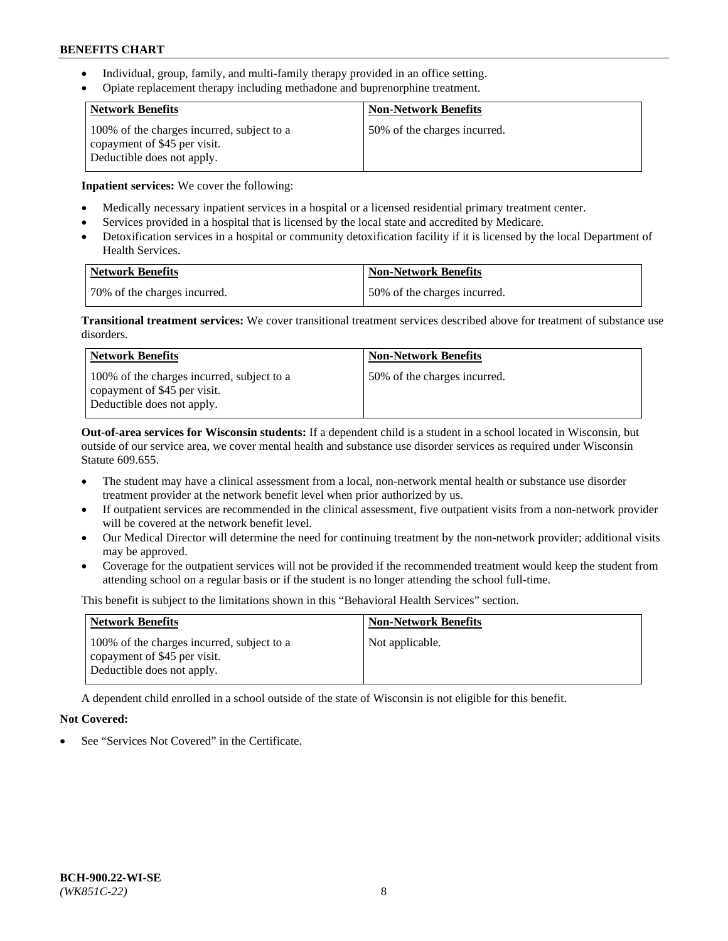- Individual, group, family, and multi-family therapy provided in an office setting.
- Opiate replacement therapy including methadone and buprenorphine treatment.

| <b>Network Benefits</b>                                                                                  | <b>Non-Network Benefits</b>  |
|----------------------------------------------------------------------------------------------------------|------------------------------|
| 100% of the charges incurred, subject to a<br>copayment of \$45 per visit.<br>Deductible does not apply. | 50% of the charges incurred. |

**Inpatient services:** We cover the following:

- Medically necessary inpatient services in a hospital or a licensed residential primary treatment center.
- Services provided in a hospital that is licensed by the local state and accredited by Medicare.
- Detoxification services in a hospital or community detoxification facility if it is licensed by the local Department of Health Services.

| Network Benefits             | Non-Network Benefits         |
|------------------------------|------------------------------|
| 70% of the charges incurred. | 50% of the charges incurred. |

**Transitional treatment services:** We cover transitional treatment services described above for treatment of substance use disorders.

| <b>Network Benefits</b>                                                                                  | <b>Non-Network Benefits</b>  |
|----------------------------------------------------------------------------------------------------------|------------------------------|
| 100% of the charges incurred, subject to a<br>copayment of \$45 per visit.<br>Deductible does not apply. | 50% of the charges incurred. |

**Out-of-area services for Wisconsin students:** If a dependent child is a student in a school located in Wisconsin, but outside of our service area, we cover mental health and substance use disorder services as required under Wisconsin Statute 609.655.

- The student may have a clinical assessment from a local, non-network mental health or substance use disorder treatment provider at the network benefit level when prior authorized by us.
- If outpatient services are recommended in the clinical assessment, five outpatient visits from a non-network provider will be covered at the network benefit level.
- Our Medical Director will determine the need for continuing treatment by the non-network provider; additional visits may be approved.
- Coverage for the outpatient services will not be provided if the recommended treatment would keep the student from attending school on a regular basis or if the student is no longer attending the school full-time.

This benefit is subject to the limitations shown in this "Behavioral Health Services" section.

| <b>Network Benefits</b>                                                                                  | <b>Non-Network Benefits</b> |
|----------------------------------------------------------------------------------------------------------|-----------------------------|
| 100% of the charges incurred, subject to a<br>copayment of \$45 per visit.<br>Deductible does not apply. | Not applicable.             |

A dependent child enrolled in a school outside of the state of Wisconsin is not eligible for this benefit.

## **Not Covered:**

See "Services Not Covered" in the Certificate.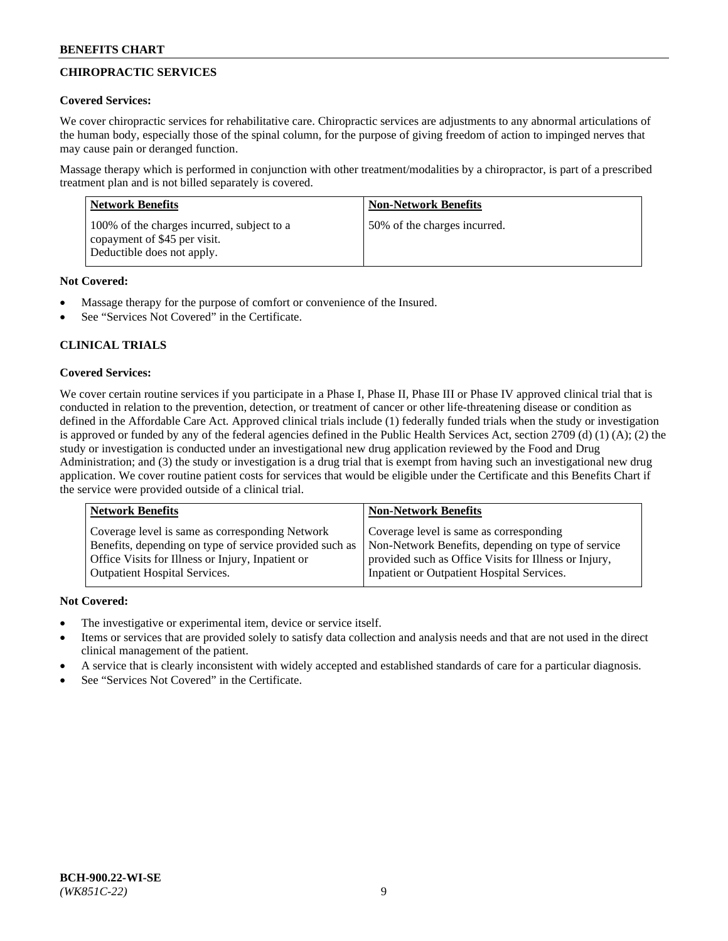# **CHIROPRACTIC SERVICES**

## **Covered Services:**

We cover chiropractic services for rehabilitative care. Chiropractic services are adjustments to any abnormal articulations of the human body, especially those of the spinal column, for the purpose of giving freedom of action to impinged nerves that may cause pain or deranged function.

Massage therapy which is performed in conjunction with other treatment/modalities by a chiropractor, is part of a prescribed treatment plan and is not billed separately is covered.

| <b>Network Benefits</b>                                                                                  | <b>Non-Network Benefits</b>  |
|----------------------------------------------------------------------------------------------------------|------------------------------|
| 100% of the charges incurred, subject to a<br>copayment of \$45 per visit.<br>Deductible does not apply. | 50% of the charges incurred. |

## **Not Covered:**

- Massage therapy for the purpose of comfort or convenience of the Insured.
- See "Services Not Covered" in the Certificate.

# **CLINICAL TRIALS**

## **Covered Services:**

We cover certain routine services if you participate in a Phase I, Phase II, Phase III or Phase IV approved clinical trial that is conducted in relation to the prevention, detection, or treatment of cancer or other life-threatening disease or condition as defined in the Affordable Care Act. Approved clinical trials include (1) federally funded trials when the study or investigation is approved or funded by any of the federal agencies defined in the Public Health Services Act, section 2709 (d) (1) (A); (2) the study or investigation is conducted under an investigational new drug application reviewed by the Food and Drug Administration; and (3) the study or investigation is a drug trial that is exempt from having such an investigational new drug application. We cover routine patient costs for services that would be eligible under the Certificate and this Benefits Chart if the service were provided outside of a clinical trial.

| Coverage level is same as corresponding Network                                                                                                                                                    | <b>Non-Network Benefits</b>                                                                                                                            |  |
|----------------------------------------------------------------------------------------------------------------------------------------------------------------------------------------------------|--------------------------------------------------------------------------------------------------------------------------------------------------------|--|
| Benefits, depending on type of service provided such as<br>Office Visits for Illness or Injury, Inpatient or<br>Inpatient or Outpatient Hospital Services.<br><b>Outpatient Hospital Services.</b> | Coverage level is same as corresponding<br>Non-Network Benefits, depending on type of service<br>provided such as Office Visits for Illness or Injury, |  |

## **Not Covered:**

- The investigative or experimental item, device or service itself.
- Items or services that are provided solely to satisfy data collection and analysis needs and that are not used in the direct clinical management of the patient.
- A service that is clearly inconsistent with widely accepted and established standards of care for a particular diagnosis.
- See "Services Not Covered" in the Certificate.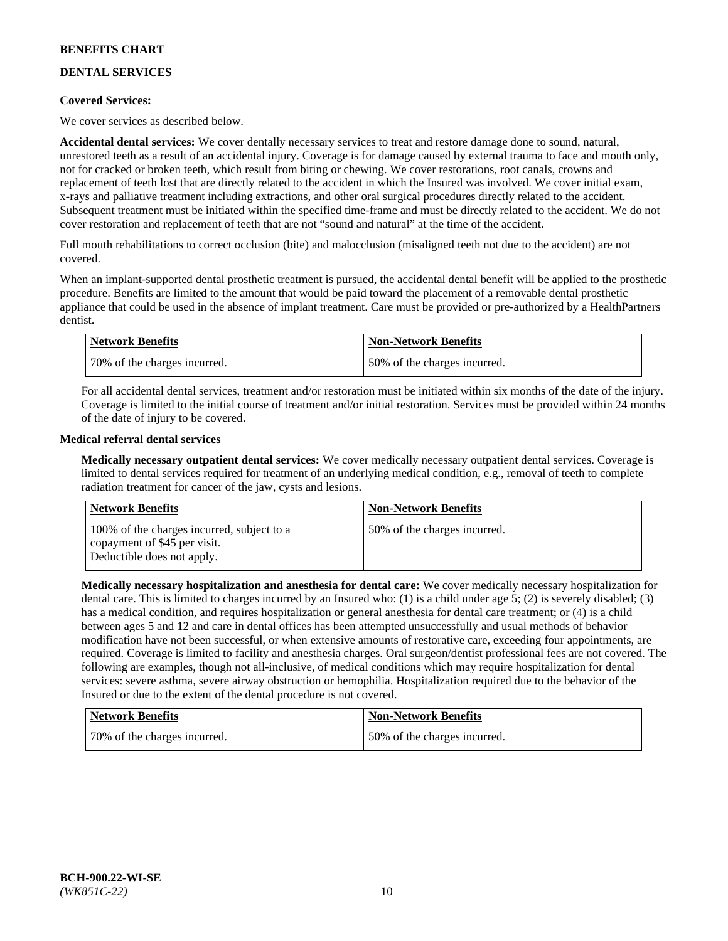# **DENTAL SERVICES**

## **Covered Services:**

We cover services as described below.

**Accidental dental services:** We cover dentally necessary services to treat and restore damage done to sound, natural, unrestored teeth as a result of an accidental injury. Coverage is for damage caused by external trauma to face and mouth only, not for cracked or broken teeth, which result from biting or chewing. We cover restorations, root canals, crowns and replacement of teeth lost that are directly related to the accident in which the Insured was involved. We cover initial exam, x-rays and palliative treatment including extractions, and other oral surgical procedures directly related to the accident. Subsequent treatment must be initiated within the specified time-frame and must be directly related to the accident. We do not cover restoration and replacement of teeth that are not "sound and natural" at the time of the accident.

Full mouth rehabilitations to correct occlusion (bite) and malocclusion (misaligned teeth not due to the accident) are not covered.

When an implant-supported dental prosthetic treatment is pursued, the accidental dental benefit will be applied to the prosthetic procedure. Benefits are limited to the amount that would be paid toward the placement of a removable dental prosthetic appliance that could be used in the absence of implant treatment. Care must be provided or pre-authorized by a HealthPartners dentist.

| Network Benefits             | <b>Non-Network Benefits</b>  |
|------------------------------|------------------------------|
| 70% of the charges incurred. | 50% of the charges incurred. |

For all accidental dental services, treatment and/or restoration must be initiated within six months of the date of the injury. Coverage is limited to the initial course of treatment and/or initial restoration. Services must be provided within 24 months of the date of injury to be covered.

#### **Medical referral dental services**

**Medically necessary outpatient dental services:** We cover medically necessary outpatient dental services. Coverage is limited to dental services required for treatment of an underlying medical condition, e.g., removal of teeth to complete radiation treatment for cancer of the jaw, cysts and lesions.

| <b>Network Benefits</b>                                                                                  | <b>Non-Network Benefits</b>  |
|----------------------------------------------------------------------------------------------------------|------------------------------|
| 100% of the charges incurred, subject to a<br>copayment of \$45 per visit.<br>Deductible does not apply. | 50% of the charges incurred. |

**Medically necessary hospitalization and anesthesia for dental care:** We cover medically necessary hospitalization for dental care. This is limited to charges incurred by an Insured who: (1) is a child under age 5; (2) is severely disabled; (3) has a medical condition, and requires hospitalization or general anesthesia for dental care treatment; or (4) is a child between ages 5 and 12 and care in dental offices has been attempted unsuccessfully and usual methods of behavior modification have not been successful, or when extensive amounts of restorative care, exceeding four appointments, are required. Coverage is limited to facility and anesthesia charges. Oral surgeon/dentist professional fees are not covered. The following are examples, though not all-inclusive, of medical conditions which may require hospitalization for dental services: severe asthma, severe airway obstruction or hemophilia. Hospitalization required due to the behavior of the Insured or due to the extent of the dental procedure is not covered.

| Network Benefits             | <b>Non-Network Benefits</b>  |
|------------------------------|------------------------------|
| 70% of the charges incurred. | 50% of the charges incurred. |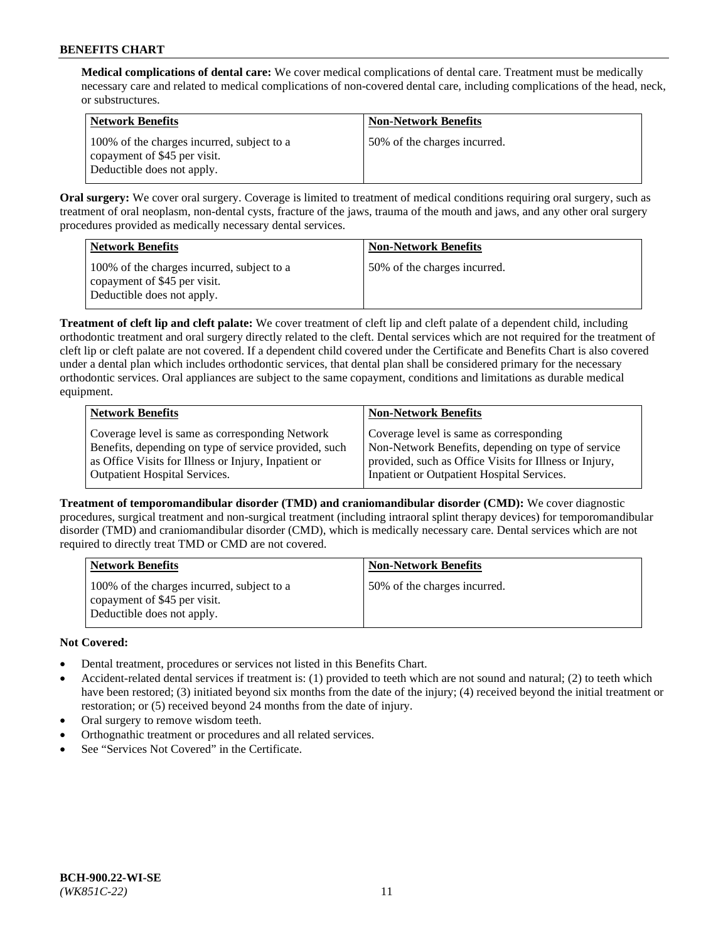**Medical complications of dental care:** We cover medical complications of dental care. Treatment must be medically necessary care and related to medical complications of non-covered dental care, including complications of the head, neck, or substructures.

| Network Benefits                                                                                         | <b>Non-Network Benefits</b>  |
|----------------------------------------------------------------------------------------------------------|------------------------------|
| 100% of the charges incurred, subject to a<br>copayment of \$45 per visit.<br>Deductible does not apply. | 50% of the charges incurred. |

**Oral surgery:** We cover oral surgery. Coverage is limited to treatment of medical conditions requiring oral surgery, such as treatment of oral neoplasm, non-dental cysts, fracture of the jaws, trauma of the mouth and jaws, and any other oral surgery procedures provided as medically necessary dental services.

| <b>Network Benefits</b>                                                                                  | <b>Non-Network Benefits</b>  |
|----------------------------------------------------------------------------------------------------------|------------------------------|
| 100% of the charges incurred, subject to a<br>copayment of \$45 per visit.<br>Deductible does not apply. | 50% of the charges incurred. |

**Treatment of cleft lip and cleft palate:** We cover treatment of cleft lip and cleft palate of a dependent child, including orthodontic treatment and oral surgery directly related to the cleft. Dental services which are not required for the treatment of cleft lip or cleft palate are not covered. If a dependent child covered under the Certificate and Benefits Chart is also covered under a dental plan which includes orthodontic services, that dental plan shall be considered primary for the necessary orthodontic services. Oral appliances are subject to the same copayment, conditions and limitations as durable medical equipment.

| <b>Network Benefits</b>                               | <b>Non-Network Benefits</b>                            |
|-------------------------------------------------------|--------------------------------------------------------|
| Coverage level is same as corresponding Network       | Coverage level is same as corresponding                |
| Benefits, depending on type of service provided, such | Non-Network Benefits, depending on type of service     |
| as Office Visits for Illness or Injury, Inpatient or  | provided, such as Office Visits for Illness or Injury, |
| <b>Outpatient Hospital Services.</b>                  | Inpatient or Outpatient Hospital Services.             |

**Treatment of temporomandibular disorder (TMD) and craniomandibular disorder (CMD):** We cover diagnostic procedures, surgical treatment and non-surgical treatment (including intraoral splint therapy devices) for temporomandibular disorder (TMD) and craniomandibular disorder (CMD), which is medically necessary care. Dental services which are not required to directly treat TMD or CMD are not covered.

| <b>Network Benefits</b>                                                                                  | <b>Non-Network Benefits</b>  |
|----------------------------------------------------------------------------------------------------------|------------------------------|
| 100% of the charges incurred, subject to a<br>copayment of \$45 per visit.<br>Deductible does not apply. | 50% of the charges incurred. |

# **Not Covered:**

- Dental treatment, procedures or services not listed in this Benefits Chart.
- Accident-related dental services if treatment is: (1) provided to teeth which are not sound and natural; (2) to teeth which have been restored; (3) initiated beyond six months from the date of the injury; (4) received beyond the initial treatment or restoration; or (5) received beyond 24 months from the date of injury.
- Oral surgery to remove wisdom teeth.
- Orthognathic treatment or procedures and all related services.
- See "Services Not Covered" in the Certificate.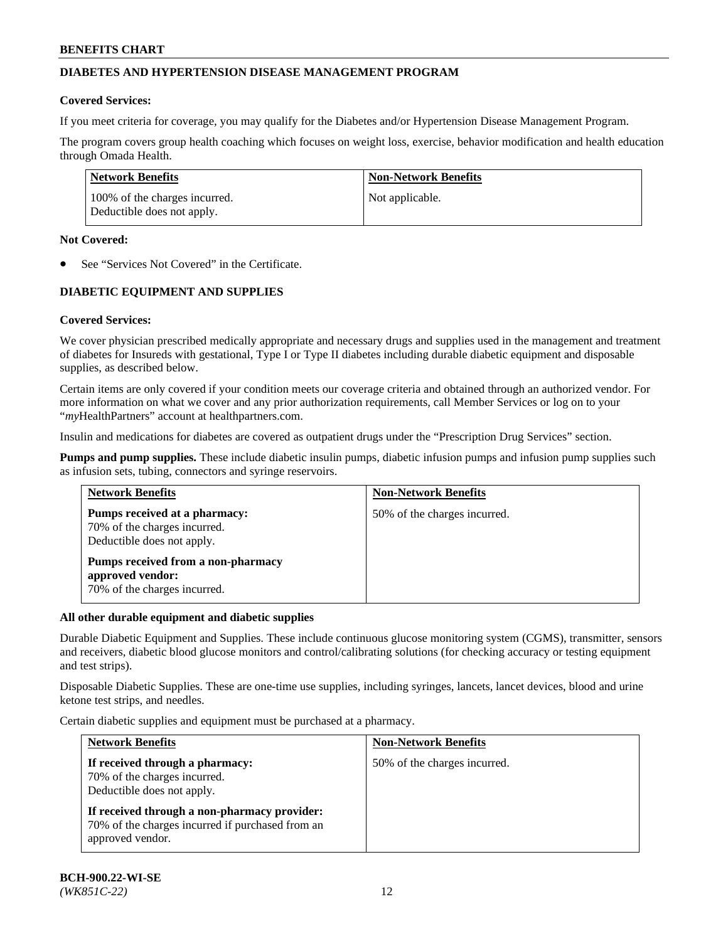## **DIABETES AND HYPERTENSION DISEASE MANAGEMENT PROGRAM**

#### **Covered Services:**

If you meet criteria for coverage, you may qualify for the Diabetes and/or Hypertension Disease Management Program.

The program covers group health coaching which focuses on weight loss, exercise, behavior modification and health education through Omada Health.

| <b>Network Benefits</b>                                     | <b>Non-Network Benefits</b> |
|-------------------------------------------------------------|-----------------------------|
| 100% of the charges incurred.<br>Deductible does not apply. | Not applicable.             |

#### **Not Covered:**

See "Services Not Covered" in the Certificate.

## **DIABETIC EQUIPMENT AND SUPPLIES**

## **Covered Services:**

We cover physician prescribed medically appropriate and necessary drugs and supplies used in the management and treatment of diabetes for Insureds with gestational, Type I or Type II diabetes including durable diabetic equipment and disposable supplies, as described below.

Certain items are only covered if your condition meets our coverage criteria and obtained through an authorized vendor. For more information on what we cover and any prior authorization requirements, call Member Services or log on to your "*my*HealthPartners" account at [healthpartners.com.](http://www.healthpartners.com/)

Insulin and medications for diabetes are covered as outpatient drugs under the "Prescription Drug Services" section.

**Pumps and pump supplies.** These include diabetic insulin pumps, diabetic infusion pumps and infusion pump supplies such as infusion sets, tubing, connectors and syringe reservoirs.

| <b>Network Benefits</b>                                                                     | <b>Non-Network Benefits</b>  |
|---------------------------------------------------------------------------------------------|------------------------------|
| Pumps received at a pharmacy:<br>70% of the charges incurred.<br>Deductible does not apply. | 50% of the charges incurred. |
| Pumps received from a non-pharmacy<br>approved vendor:<br>70% of the charges incurred.      |                              |

#### **All other durable equipment and diabetic supplies**

Durable Diabetic Equipment and Supplies. These include continuous glucose monitoring system (CGMS), transmitter, sensors and receivers, diabetic blood glucose monitors and control/calibrating solutions (for checking accuracy or testing equipment and test strips).

Disposable Diabetic Supplies. These are one-time use supplies, including syringes, lancets, lancet devices, blood and urine ketone test strips, and needles.

Certain diabetic supplies and equipment must be purchased at a pharmacy.

| <b>Network Benefits</b>                                                                                              | <b>Non-Network Benefits</b>  |  |
|----------------------------------------------------------------------------------------------------------------------|------------------------------|--|
| If received through a pharmacy:<br>70% of the charges incurred.<br>Deductible does not apply.                        | 50% of the charges incurred. |  |
| If received through a non-pharmacy provider:<br>70% of the charges incurred if purchased from an<br>approved vendor. |                              |  |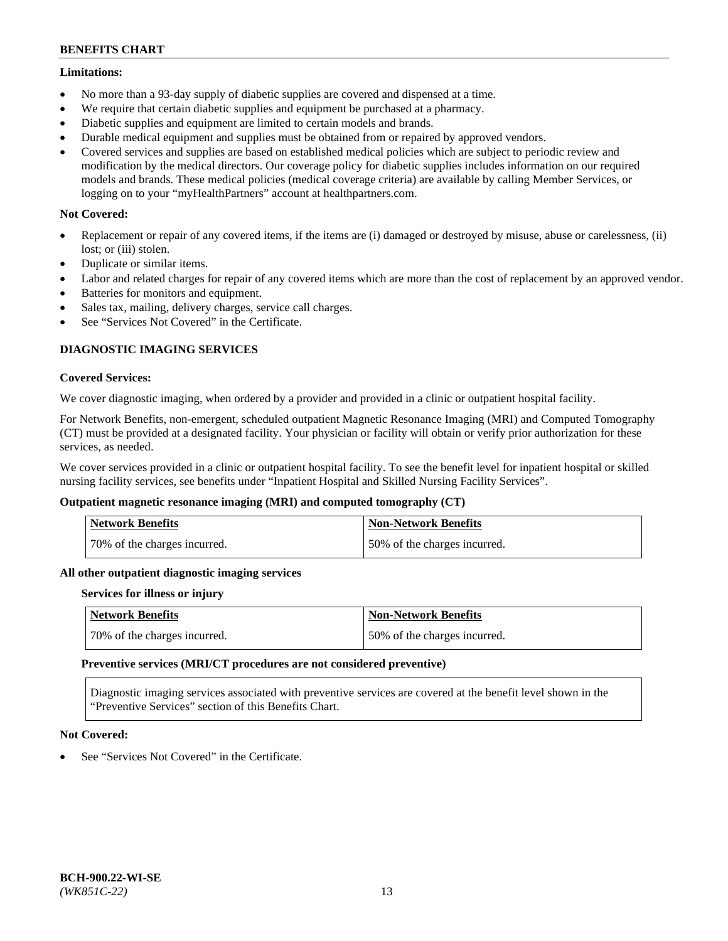#### **Limitations:**

- No more than a 93-day supply of diabetic supplies are covered and dispensed at a time.
- We require that certain diabetic supplies and equipment be purchased at a pharmacy.
- Diabetic supplies and equipment are limited to certain models and brands.
- Durable medical equipment and supplies must be obtained from or repaired by approved vendors.
- Covered services and supplies are based on established medical policies which are subject to periodic review and modification by the medical directors. Our coverage policy for diabetic supplies includes information on our required models and brands. These medical policies (medical coverage criteria) are available by calling Member Services, or logging on to your "myHealthPartners" account at [healthpartners.com.](http://www.healthpartners.com/)

## **Not Covered:**

- Replacement or repair of any covered items, if the items are (i) damaged or destroyed by misuse, abuse or carelessness, (ii) lost; or (iii) stolen.
- Duplicate or similar items.
- Labor and related charges for repair of any covered items which are more than the cost of replacement by an approved vendor.
- Batteries for monitors and equipment.
- Sales tax, mailing, delivery charges, service call charges.
- See "Services Not Covered" in the Certificate.

## **DIAGNOSTIC IMAGING SERVICES**

#### **Covered Services:**

We cover diagnostic imaging, when ordered by a provider and provided in a clinic or outpatient hospital facility.

For Network Benefits, non-emergent, scheduled outpatient Magnetic Resonance Imaging (MRI) and Computed Tomography (CT) must be provided at a designated facility. Your physician or facility will obtain or verify prior authorization for these services, as needed.

We cover services provided in a clinic or outpatient hospital facility. To see the benefit level for inpatient hospital or skilled nursing facility services, see benefits under "Inpatient Hospital and Skilled Nursing Facility Services".

## **Outpatient magnetic resonance imaging (MRI) and computed tomography (CT)**

| <b>Network Benefits</b>      | <b>Non-Network Benefits</b>  |
|------------------------------|------------------------------|
| 70% of the charges incurred. | 50% of the charges incurred. |

#### **All other outpatient diagnostic imaging services**

#### **Services for illness or injury**

| <b>Network Benefits</b>      | Non-Network Benefits         |
|------------------------------|------------------------------|
| 70% of the charges incurred. | 50% of the charges incurred. |

#### **Preventive services (MRI/CT procedures are not considered preventive)**

Diagnostic imaging services associated with preventive services are covered at the benefit level shown in the "Preventive Services" section of this Benefits Chart.

## **Not Covered:**

See "Services Not Covered" in the Certificate.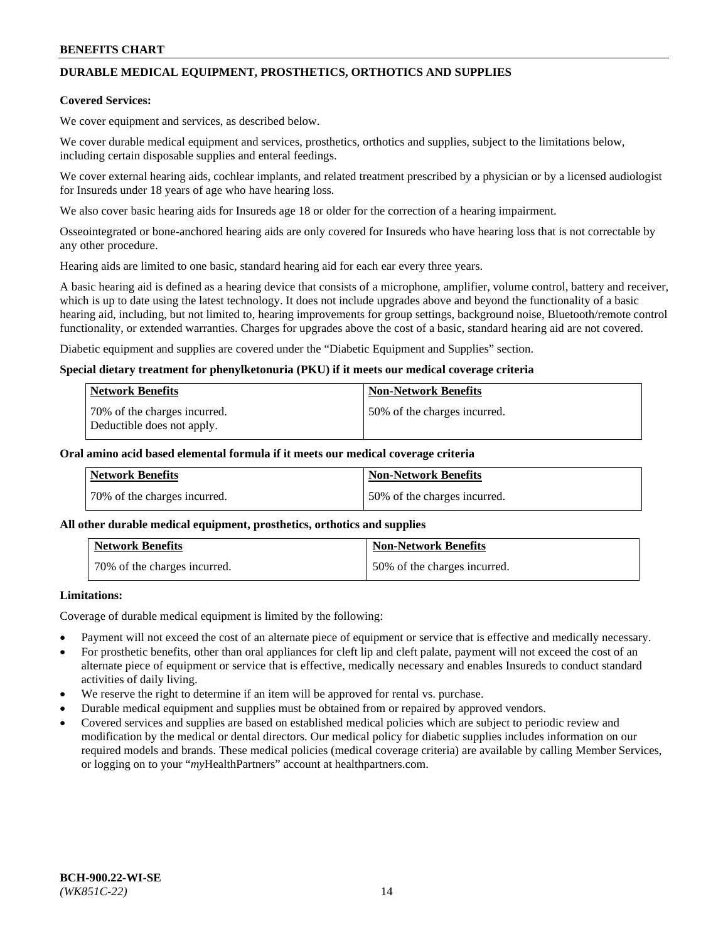# **DURABLE MEDICAL EQUIPMENT, PROSTHETICS, ORTHOTICS AND SUPPLIES**

#### **Covered Services:**

We cover equipment and services, as described below.

We cover durable medical equipment and services, prosthetics, orthotics and supplies, subject to the limitations below, including certain disposable supplies and enteral feedings.

We cover external hearing aids, cochlear implants, and related treatment prescribed by a physician or by a licensed audiologist for Insureds under 18 years of age who have hearing loss.

We also cover basic hearing aids for Insureds age 18 or older for the correction of a hearing impairment.

Osseointegrated or bone-anchored hearing aids are only covered for Insureds who have hearing loss that is not correctable by any other procedure.

Hearing aids are limited to one basic, standard hearing aid for each ear every three years.

A basic hearing aid is defined as a hearing device that consists of a microphone, amplifier, volume control, battery and receiver, which is up to date using the latest technology. It does not include upgrades above and beyond the functionality of a basic hearing aid, including, but not limited to, hearing improvements for group settings, background noise, Bluetooth/remote control functionality, or extended warranties. Charges for upgrades above the cost of a basic, standard hearing aid are not covered.

Diabetic equipment and supplies are covered under the "Diabetic Equipment and Supplies" section.

#### **Special dietary treatment for phenylketonuria (PKU) if it meets our medical coverage criteria**

| <b>Network Benefits</b>                                    | <b>Non-Network Benefits</b>  |
|------------------------------------------------------------|------------------------------|
| 70% of the charges incurred.<br>Deductible does not apply. | 50% of the charges incurred. |

#### **Oral amino acid based elemental formula if it meets our medical coverage criteria**

| Network Benefits             | <b>Non-Network Benefits</b>  |
|------------------------------|------------------------------|
| 70% of the charges incurred. | 50% of the charges incurred. |

#### **All other durable medical equipment, prosthetics, orthotics and supplies**

| <b>Network Benefits</b>      | <b>Non-Network Benefits</b>  |
|------------------------------|------------------------------|
| 70% of the charges incurred. | 50% of the charges incurred. |

## **Limitations:**

Coverage of durable medical equipment is limited by the following:

- Payment will not exceed the cost of an alternate piece of equipment or service that is effective and medically necessary.
- For prosthetic benefits, other than oral appliances for cleft lip and cleft palate, payment will not exceed the cost of an alternate piece of equipment or service that is effective, medically necessary and enables Insureds to conduct standard activities of daily living.
- We reserve the right to determine if an item will be approved for rental vs. purchase.
- Durable medical equipment and supplies must be obtained from or repaired by approved vendors.
- Covered services and supplies are based on established medical policies which are subject to periodic review and modification by the medical or dental directors. Our medical policy for diabetic supplies includes information on our required models and brands. These medical policies (medical coverage criteria) are available by calling Member Services, or logging on to your "*my*HealthPartners" account a[t healthpartners.com.](http://www.healthpartners.com/)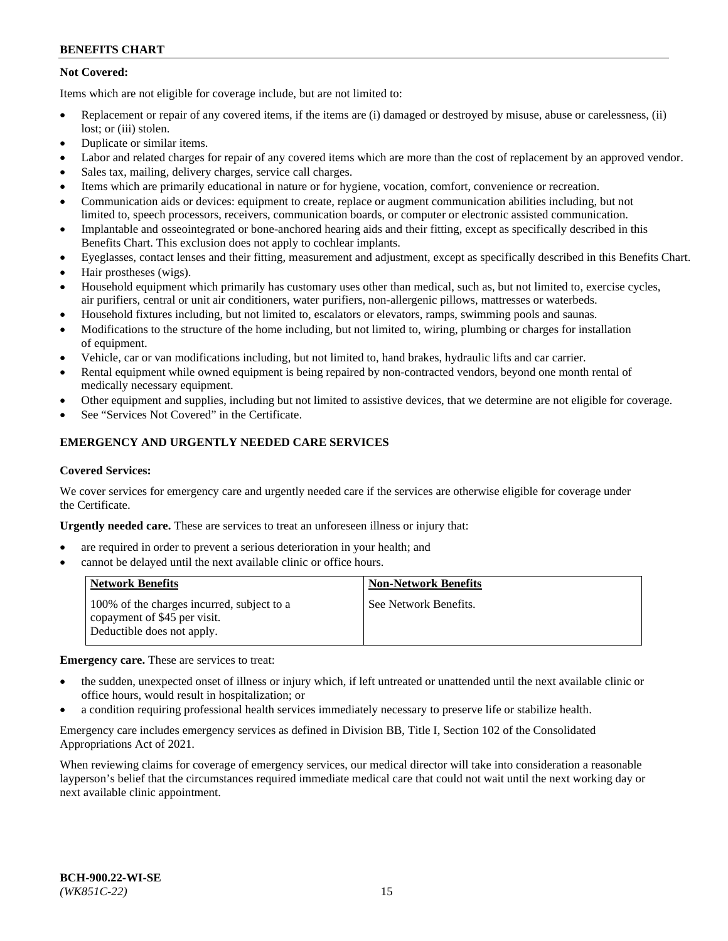## **Not Covered:**

Items which are not eligible for coverage include, but are not limited to:

- Replacement or repair of any covered items, if the items are (i) damaged or destroyed by misuse, abuse or carelessness, (ii) lost; or (iii) stolen.
- Duplicate or similar items.
- Labor and related charges for repair of any covered items which are more than the cost of replacement by an approved vendor.
- Sales tax, mailing, delivery charges, service call charges.
- Items which are primarily educational in nature or for hygiene, vocation, comfort, convenience or recreation.
- Communication aids or devices: equipment to create, replace or augment communication abilities including, but not limited to, speech processors, receivers, communication boards, or computer or electronic assisted communication.
- Implantable and osseointegrated or bone-anchored hearing aids and their fitting, except as specifically described in this Benefits Chart. This exclusion does not apply to cochlear implants.
- Eyeglasses, contact lenses and their fitting, measurement and adjustment, except as specifically described in this Benefits Chart.
- Hair prostheses (wigs).
- Household equipment which primarily has customary uses other than medical, such as, but not limited to, exercise cycles, air purifiers, central or unit air conditioners, water purifiers, non-allergenic pillows, mattresses or waterbeds.
- Household fixtures including, but not limited to, escalators or elevators, ramps, swimming pools and saunas.
- Modifications to the structure of the home including, but not limited to, wiring, plumbing or charges for installation of equipment.
- Vehicle, car or van modifications including, but not limited to, hand brakes, hydraulic lifts and car carrier.
- Rental equipment while owned equipment is being repaired by non-contracted vendors, beyond one month rental of medically necessary equipment.
- Other equipment and supplies, including but not limited to assistive devices, that we determine are not eligible for coverage.
- See "Services Not Covered" in the Certificate.

## **EMERGENCY AND URGENTLY NEEDED CARE SERVICES**

#### **Covered Services:**

We cover services for emergency care and urgently needed care if the services are otherwise eligible for coverage under the Certificate.

**Urgently needed care.** These are services to treat an unforeseen illness or injury that:

- are required in order to prevent a serious deterioration in your health; and
- cannot be delayed until the next available clinic or office hours.

| <b>Network Benefits</b>                                                                                  | <b>Non-Network Benefits</b> |
|----------------------------------------------------------------------------------------------------------|-----------------------------|
| 100% of the charges incurred, subject to a<br>copayment of \$45 per visit.<br>Deductible does not apply. | See Network Benefits.       |

**Emergency care.** These are services to treat:

- the sudden, unexpected onset of illness or injury which, if left untreated or unattended until the next available clinic or office hours, would result in hospitalization; or
- a condition requiring professional health services immediately necessary to preserve life or stabilize health.

Emergency care includes emergency services as defined in Division BB, Title I, Section 102 of the Consolidated Appropriations Act of 2021.

When reviewing claims for coverage of emergency services, our medical director will take into consideration a reasonable layperson's belief that the circumstances required immediate medical care that could not wait until the next working day or next available clinic appointment.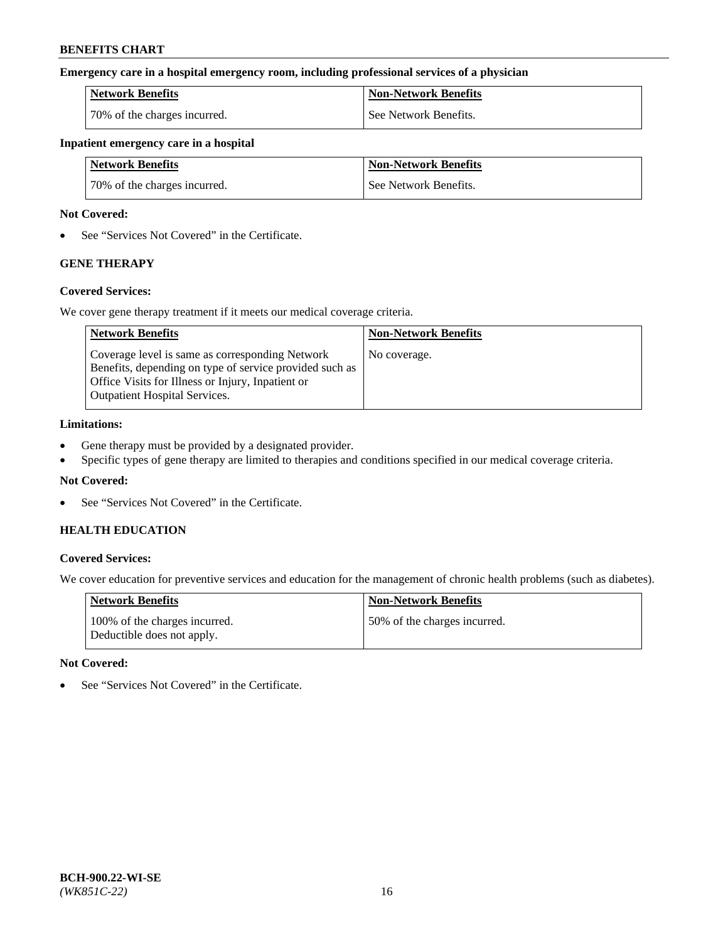#### **Emergency care in a hospital emergency room, including professional services of a physician**

| <b>Network Benefits</b>      | <b>Non-Network Benefits</b> |
|------------------------------|-----------------------------|
| 70% of the charges incurred. | See Network Benefits.       |

#### **Inpatient emergency care in a hospital**

| <b>Network Benefits</b>      | <b>Non-Network Benefits</b> |
|------------------------------|-----------------------------|
| 70% of the charges incurred. | See Network Benefits.       |

#### **Not Covered:**

• See "Services Not Covered" in the Certificate.

## **GENE THERAPY**

## **Covered Services:**

We cover gene therapy treatment if it meets our medical coverage criteria.

| <b>Network Benefits</b>                                                                                                                                                                                 | <b>Non-Network Benefits</b> |
|---------------------------------------------------------------------------------------------------------------------------------------------------------------------------------------------------------|-----------------------------|
| Coverage level is same as corresponding Network<br>Benefits, depending on type of service provided such as<br>Office Visits for Illness or Injury, Inpatient or<br><b>Outpatient Hospital Services.</b> | No coverage.                |

#### **Limitations:**

- Gene therapy must be provided by a designated provider.
- Specific types of gene therapy are limited to therapies and conditions specified in our medical coverage criteria.

## **Not Covered:**

• See "Services Not Covered" in the Certificate.

## **HEALTH EDUCATION**

## **Covered Services:**

We cover education for preventive services and education for the management of chronic health problems (such as diabetes).

| <b>Network Benefits</b>                                     | <b>Non-Network Benefits</b>  |
|-------------------------------------------------------------|------------------------------|
| 100% of the charges incurred.<br>Deductible does not apply. | 50% of the charges incurred. |

#### **Not Covered:**

• See "Services Not Covered" in the Certificate.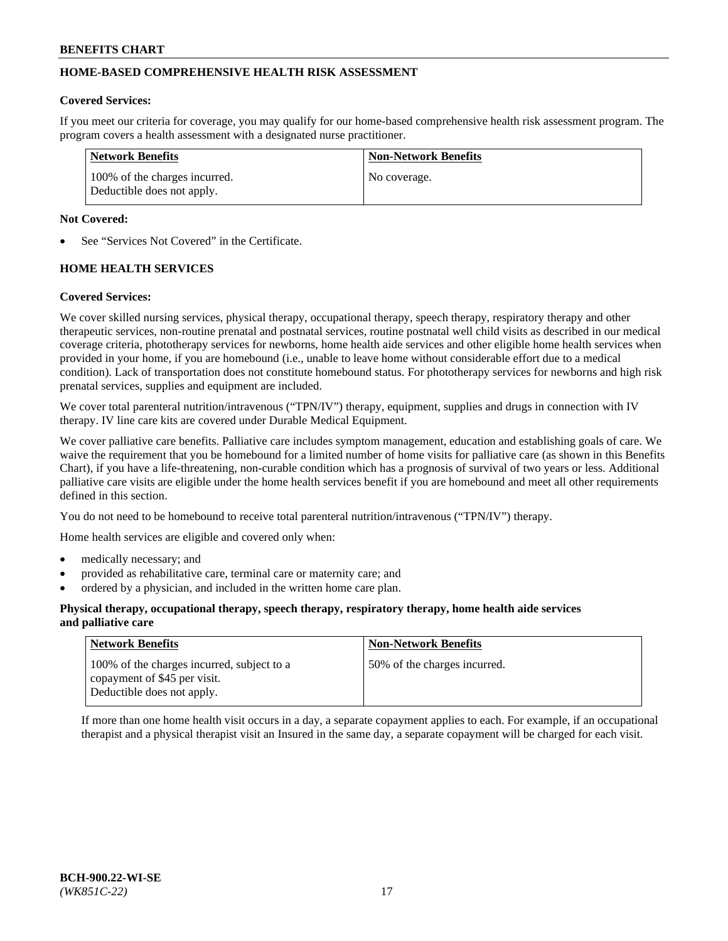## **HOME-BASED COMPREHENSIVE HEALTH RISK ASSESSMENT**

#### **Covered Services:**

If you meet our criteria for coverage, you may qualify for our home-based comprehensive health risk assessment program. The program covers a health assessment with a designated nurse practitioner.

| Network Benefits                                            | <b>Non-Network Benefits</b> |
|-------------------------------------------------------------|-----------------------------|
| 100% of the charges incurred.<br>Deductible does not apply. | No coverage.                |

#### **Not Covered:**

See "Services Not Covered" in the Certificate.

## **HOME HEALTH SERVICES**

#### **Covered Services:**

We cover skilled nursing services, physical therapy, occupational therapy, speech therapy, respiratory therapy and other therapeutic services, non-routine prenatal and postnatal services, routine postnatal well child visits as described in our medical coverage criteria, phototherapy services for newborns, home health aide services and other eligible home health services when provided in your home, if you are homebound (i.e., unable to leave home without considerable effort due to a medical condition). Lack of transportation does not constitute homebound status. For phototherapy services for newborns and high risk prenatal services, supplies and equipment are included.

We cover total parenteral nutrition/intravenous ("TPN/IV") therapy, equipment, supplies and drugs in connection with IV therapy. IV line care kits are covered under Durable Medical Equipment.

We cover palliative care benefits. Palliative care includes symptom management, education and establishing goals of care. We waive the requirement that you be homebound for a limited number of home visits for palliative care (as shown in this Benefits Chart), if you have a life-threatening, non-curable condition which has a prognosis of survival of two years or less. Additional palliative care visits are eligible under the home health services benefit if you are homebound and meet all other requirements defined in this section.

You do not need to be homebound to receive total parenteral nutrition/intravenous ("TPN/IV") therapy.

Home health services are eligible and covered only when:

- medically necessary; and
- provided as rehabilitative care, terminal care or maternity care; and
- ordered by a physician, and included in the written home care plan.

#### **Physical therapy, occupational therapy, speech therapy, respiratory therapy, home health aide services and palliative care**

| <b>Network Benefits</b>                                                                                  | <b>Non-Network Benefits</b>  |
|----------------------------------------------------------------------------------------------------------|------------------------------|
| 100% of the charges incurred, subject to a<br>copayment of \$45 per visit.<br>Deductible does not apply. | 50% of the charges incurred. |

If more than one home health visit occurs in a day, a separate copayment applies to each. For example, if an occupational therapist and a physical therapist visit an Insured in the same day, a separate copayment will be charged for each visit.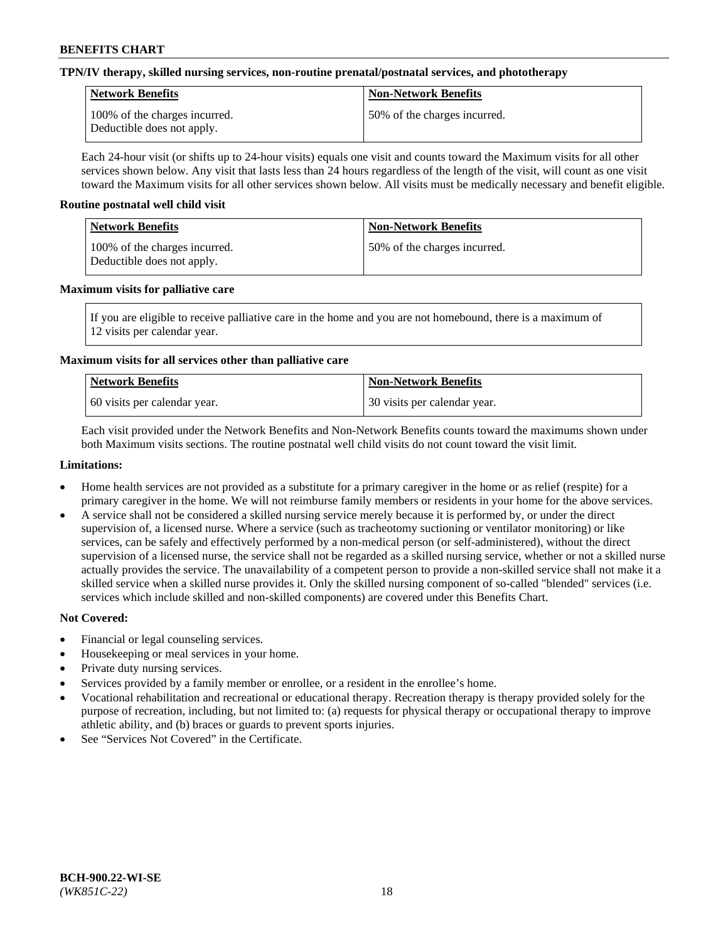#### **TPN/IV therapy, skilled nursing services, non-routine prenatal/postnatal services, and phototherapy**

| Network Benefits                                            | <b>Non-Network Benefits</b>  |
|-------------------------------------------------------------|------------------------------|
| 100% of the charges incurred.<br>Deductible does not apply. | 50% of the charges incurred. |

Each 24-hour visit (or shifts up to 24-hour visits) equals one visit and counts toward the Maximum visits for all other services shown below. Any visit that lasts less than 24 hours regardless of the length of the visit, will count as one visit toward the Maximum visits for all other services shown below. All visits must be medically necessary and benefit eligible.

#### **Routine postnatal well child visit**

| Network Benefits                                            | <b>Non-Network Benefits</b>  |
|-------------------------------------------------------------|------------------------------|
| 100% of the charges incurred.<br>Deductible does not apply. | 50% of the charges incurred. |

#### **Maximum visits for palliative care**

If you are eligible to receive palliative care in the home and you are not homebound, there is a maximum of 12 visits per calendar year.

## **Maximum visits for all services other than palliative care**

| Network Benefits               | <b>Non-Network Benefits</b>  |
|--------------------------------|------------------------------|
| 1.60 visits per calendar year. | 30 visits per calendar year. |

Each visit provided under the Network Benefits and Non-Network Benefits counts toward the maximums shown under both Maximum visits sections. The routine postnatal well child visits do not count toward the visit limit.

#### **Limitations:**

- Home health services are not provided as a substitute for a primary caregiver in the home or as relief (respite) for a primary caregiver in the home. We will not reimburse family members or residents in your home for the above services.
- A service shall not be considered a skilled nursing service merely because it is performed by, or under the direct supervision of, a licensed nurse. Where a service (such as tracheotomy suctioning or ventilator monitoring) or like services, can be safely and effectively performed by a non-medical person (or self-administered), without the direct supervision of a licensed nurse, the service shall not be regarded as a skilled nursing service, whether or not a skilled nurse actually provides the service. The unavailability of a competent person to provide a non-skilled service shall not make it a skilled service when a skilled nurse provides it. Only the skilled nursing component of so-called "blended" services (i.e. services which include skilled and non-skilled components) are covered under this Benefits Chart.

## **Not Covered:**

- Financial or legal counseling services.
- Housekeeping or meal services in your home.
- Private duty nursing services.
- Services provided by a family member or enrollee, or a resident in the enrollee's home.
- Vocational rehabilitation and recreational or educational therapy. Recreation therapy is therapy provided solely for the purpose of recreation, including, but not limited to: (a) requests for physical therapy or occupational therapy to improve athletic ability, and (b) braces or guards to prevent sports injuries.
- See "Services Not Covered" in the Certificate.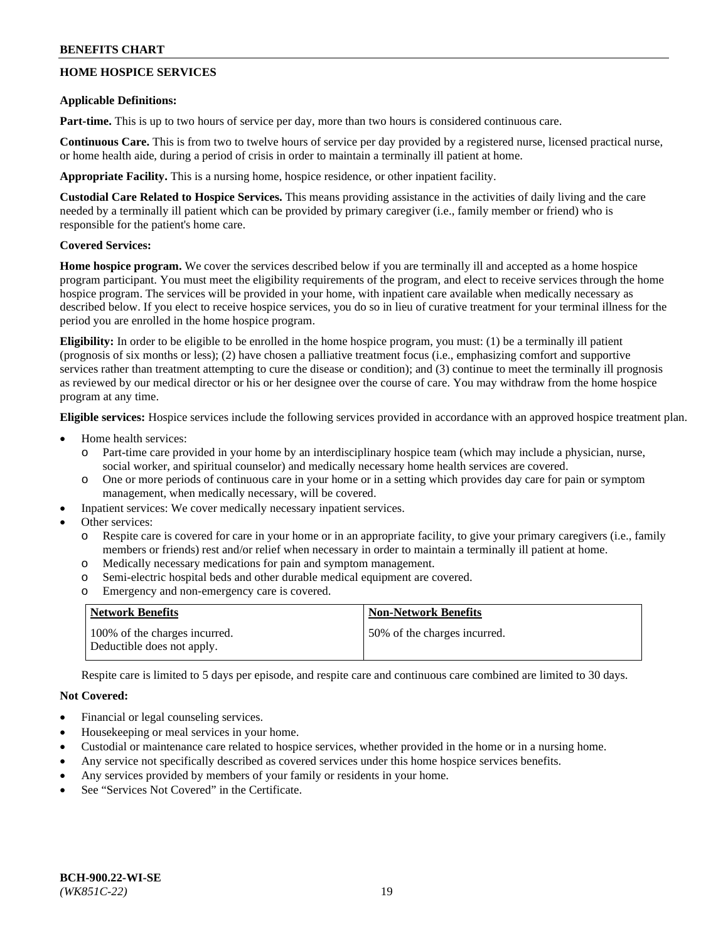## **HOME HOSPICE SERVICES**

#### **Applicable Definitions:**

**Part-time.** This is up to two hours of service per day, more than two hours is considered continuous care.

**Continuous Care.** This is from two to twelve hours of service per day provided by a registered nurse, licensed practical nurse, or home health aide, during a period of crisis in order to maintain a terminally ill patient at home.

**Appropriate Facility.** This is a nursing home, hospice residence, or other inpatient facility.

**Custodial Care Related to Hospice Services.** This means providing assistance in the activities of daily living and the care needed by a terminally ill patient which can be provided by primary caregiver (i.e., family member or friend) who is responsible for the patient's home care.

## **Covered Services:**

**Home hospice program.** We cover the services described below if you are terminally ill and accepted as a home hospice program participant. You must meet the eligibility requirements of the program, and elect to receive services through the home hospice program. The services will be provided in your home, with inpatient care available when medically necessary as described below. If you elect to receive hospice services, you do so in lieu of curative treatment for your terminal illness for the period you are enrolled in the home hospice program.

**Eligibility:** In order to be eligible to be enrolled in the home hospice program, you must: (1) be a terminally ill patient (prognosis of six months or less); (2) have chosen a palliative treatment focus (i.e., emphasizing comfort and supportive services rather than treatment attempting to cure the disease or condition); and (3) continue to meet the terminally ill prognosis as reviewed by our medical director or his or her designee over the course of care. You may withdraw from the home hospice program at any time.

**Eligible services:** Hospice services include the following services provided in accordance with an approved hospice treatment plan.

- Home health services:
	- Part-time care provided in your home by an interdisciplinary hospice team (which may include a physician, nurse, social worker, and spiritual counselor) and medically necessary home health services are covered.
	- o One or more periods of continuous care in your home or in a setting which provides day care for pain or symptom management, when medically necessary, will be covered.
	- Inpatient services: We cover medically necessary inpatient services.
- Other services:
	- Respite care is covered for care in your home or in an appropriate facility, to give your primary caregivers (i.e., family members or friends) rest and/or relief when necessary in order to maintain a terminally ill patient at home.
	- o Medically necessary medications for pain and symptom management.
	- o Semi-electric hospital beds and other durable medical equipment are covered.
	- o Emergency and non-emergency care is covered.

| Network Benefits                                            | <b>Non-Network Benefits</b>  |
|-------------------------------------------------------------|------------------------------|
| 100% of the charges incurred.<br>Deductible does not apply. | 50% of the charges incurred. |

Respite care is limited to 5 days per episode, and respite care and continuous care combined are limited to 30 days.

## **Not Covered:**

- Financial or legal counseling services.
- Housekeeping or meal services in your home.
- Custodial or maintenance care related to hospice services, whether provided in the home or in a nursing home.
- Any service not specifically described as covered services under this home hospice services benefits.
- Any services provided by members of your family or residents in your home.
- See "Services Not Covered" in the Certificate.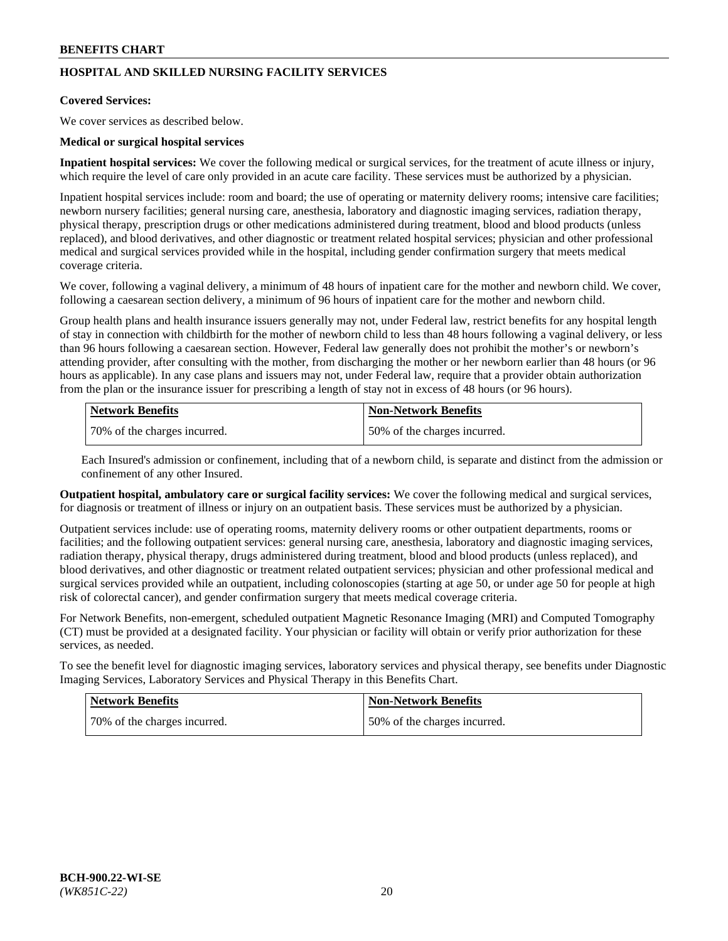## **HOSPITAL AND SKILLED NURSING FACILITY SERVICES**

#### **Covered Services:**

We cover services as described below.

#### **Medical or surgical hospital services**

**Inpatient hospital services:** We cover the following medical or surgical services, for the treatment of acute illness or injury, which require the level of care only provided in an acute care facility. These services must be authorized by a physician.

Inpatient hospital services include: room and board; the use of operating or maternity delivery rooms; intensive care facilities; newborn nursery facilities; general nursing care, anesthesia, laboratory and diagnostic imaging services, radiation therapy, physical therapy, prescription drugs or other medications administered during treatment, blood and blood products (unless replaced), and blood derivatives, and other diagnostic or treatment related hospital services; physician and other professional medical and surgical services provided while in the hospital, including gender confirmation surgery that meets medical coverage criteria.

We cover, following a vaginal delivery, a minimum of 48 hours of inpatient care for the mother and newborn child. We cover, following a caesarean section delivery, a minimum of 96 hours of inpatient care for the mother and newborn child.

Group health plans and health insurance issuers generally may not, under Federal law, restrict benefits for any hospital length of stay in connection with childbirth for the mother of newborn child to less than 48 hours following a vaginal delivery, or less than 96 hours following a caesarean section. However, Federal law generally does not prohibit the mother's or newborn's attending provider, after consulting with the mother, from discharging the mother or her newborn earlier than 48 hours (or 96 hours as applicable). In any case plans and issuers may not, under Federal law, require that a provider obtain authorization from the plan or the insurance issuer for prescribing a length of stay not in excess of 48 hours (or 96 hours).

| Network Benefits             | Non-Network Benefits         |
|------------------------------|------------------------------|
| 70% of the charges incurred. | 50% of the charges incurred. |

Each Insured's admission or confinement, including that of a newborn child, is separate and distinct from the admission or confinement of any other Insured.

**Outpatient hospital, ambulatory care or surgical facility services:** We cover the following medical and surgical services, for diagnosis or treatment of illness or injury on an outpatient basis. These services must be authorized by a physician.

Outpatient services include: use of operating rooms, maternity delivery rooms or other outpatient departments, rooms or facilities; and the following outpatient services: general nursing care, anesthesia, laboratory and diagnostic imaging services, radiation therapy, physical therapy, drugs administered during treatment, blood and blood products (unless replaced), and blood derivatives, and other diagnostic or treatment related outpatient services; physician and other professional medical and surgical services provided while an outpatient, including colonoscopies (starting at age 50, or under age 50 for people at high risk of colorectal cancer), and gender confirmation surgery that meets medical coverage criteria.

For Network Benefits, non-emergent, scheduled outpatient Magnetic Resonance Imaging (MRI) and Computed Tomography (CT) must be provided at a designated facility. Your physician or facility will obtain or verify prior authorization for these services, as needed.

To see the benefit level for diagnostic imaging services, laboratory services and physical therapy, see benefits under Diagnostic Imaging Services, Laboratory Services and Physical Therapy in this Benefits Chart.

| <b>Network Benefits</b>      | <b>Non-Network Benefits</b>   |
|------------------------------|-------------------------------|
| 70% of the charges incurred. | 150% of the charges incurred. |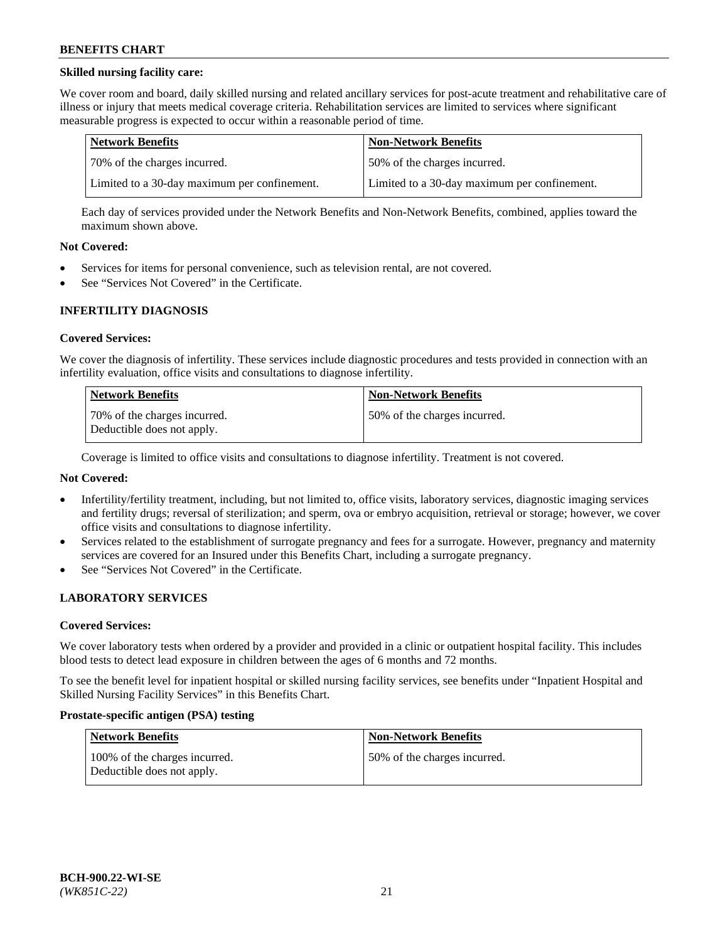### **Skilled nursing facility care:**

We cover room and board, daily skilled nursing and related ancillary services for post-acute treatment and rehabilitative care of illness or injury that meets medical coverage criteria. Rehabilitation services are limited to services where significant measurable progress is expected to occur within a reasonable period of time.

| Network Benefits                             | <b>Non-Network Benefits</b>                  |
|----------------------------------------------|----------------------------------------------|
| 170% of the charges incurred.                | 50% of the charges incurred.                 |
| Limited to a 30-day maximum per confinement. | Limited to a 30-day maximum per confinement. |

Each day of services provided under the Network Benefits and Non-Network Benefits, combined, applies toward the maximum shown above.

#### **Not Covered:**

- Services for items for personal convenience, such as television rental, are not covered.
- See "Services Not Covered" in the Certificate.

#### **INFERTILITY DIAGNOSIS**

#### **Covered Services:**

We cover the diagnosis of infertility. These services include diagnostic procedures and tests provided in connection with an infertility evaluation, office visits and consultations to diagnose infertility.

| <b>Network Benefits</b>                                    | <b>Non-Network Benefits</b>  |
|------------------------------------------------------------|------------------------------|
| 70% of the charges incurred.<br>Deductible does not apply. | 50% of the charges incurred. |

Coverage is limited to office visits and consultations to diagnose infertility. Treatment is not covered.

## **Not Covered:**

- Infertility/fertility treatment, including, but not limited to, office visits, laboratory services, diagnostic imaging services and fertility drugs; reversal of sterilization; and sperm, ova or embryo acquisition, retrieval or storage; however, we cover office visits and consultations to diagnose infertility.
- Services related to the establishment of surrogate pregnancy and fees for a surrogate. However, pregnancy and maternity services are covered for an Insured under this Benefits Chart, including a surrogate pregnancy.
- See "Services Not Covered" in the Certificate.

## **LABORATORY SERVICES**

#### **Covered Services:**

We cover laboratory tests when ordered by a provider and provided in a clinic or outpatient hospital facility. This includes blood tests to detect lead exposure in children between the ages of 6 months and 72 months.

To see the benefit level for inpatient hospital or skilled nursing facility services, see benefits under "Inpatient Hospital and Skilled Nursing Facility Services" in this Benefits Chart.

#### **Prostate-specific antigen (PSA) testing**

| Network Benefits                                            | <b>Non-Network Benefits</b>  |
|-------------------------------------------------------------|------------------------------|
| 100% of the charges incurred.<br>Deductible does not apply. | 50% of the charges incurred. |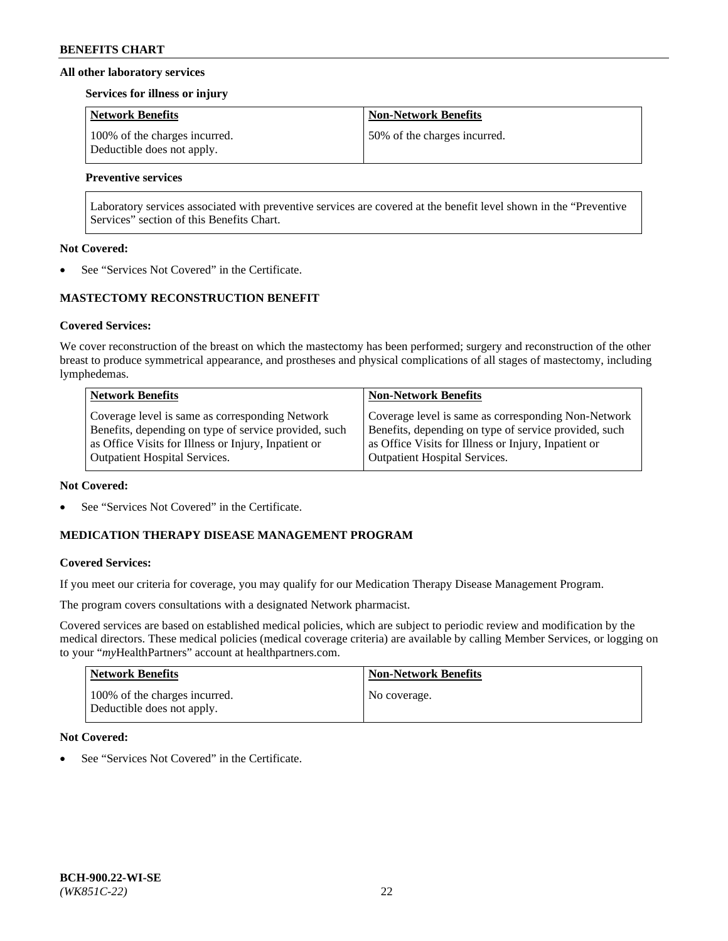#### **All other laboratory services**

#### **Services for illness or injury**

| Network Benefits                                            | <b>Non-Network Benefits</b>  |
|-------------------------------------------------------------|------------------------------|
| 100% of the charges incurred.<br>Deductible does not apply. | 50% of the charges incurred. |

## **Preventive services**

Laboratory services associated with preventive services are covered at the benefit level shown in the "Preventive Services" section of this Benefits Chart.

#### **Not Covered:**

See "Services Not Covered" in the Certificate.

## **MASTECTOMY RECONSTRUCTION BENEFIT**

#### **Covered Services:**

We cover reconstruction of the breast on which the mastectomy has been performed; surgery and reconstruction of the other breast to produce symmetrical appearance, and prostheses and physical complications of all stages of mastectomy, including lymphedemas.

| <b>Network Benefits</b>                               | <b>Non-Network Benefits</b>                           |
|-------------------------------------------------------|-------------------------------------------------------|
| Coverage level is same as corresponding Network       | Coverage level is same as corresponding Non-Network   |
| Benefits, depending on type of service provided, such | Benefits, depending on type of service provided, such |
| as Office Visits for Illness or Injury, Inpatient or  | as Office Visits for Illness or Injury, Inpatient or  |
| <b>Outpatient Hospital Services.</b>                  | Outpatient Hospital Services.                         |

#### **Not Covered:**

See "Services Not Covered" in the Certificate.

## **MEDICATION THERAPY DISEASE MANAGEMENT PROGRAM**

## **Covered Services:**

If you meet our criteria for coverage, you may qualify for our Medication Therapy Disease Management Program.

The program covers consultations with a designated Network pharmacist.

Covered services are based on established medical policies, which are subject to periodic review and modification by the medical directors. These medical policies (medical coverage criteria) are available by calling Member Services, or logging on to your "*my*HealthPartners" account at [healthpartners.com.](http://www.healthpartners.com/)

| Network Benefits                                            | <b>Non-Network Benefits</b> |
|-------------------------------------------------------------|-----------------------------|
| 100% of the charges incurred.<br>Deductible does not apply. | No coverage.                |

## **Not Covered:**

See "Services Not Covered" in the Certificate.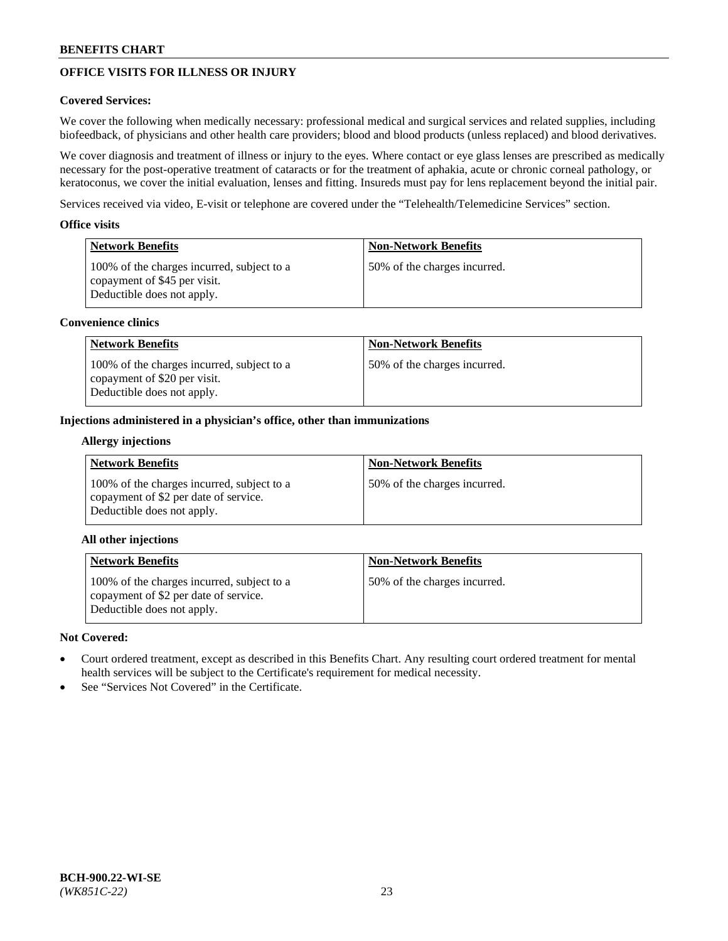# **OFFICE VISITS FOR ILLNESS OR INJURY**

## **Covered Services:**

We cover the following when medically necessary: professional medical and surgical services and related supplies, including biofeedback, of physicians and other health care providers; blood and blood products (unless replaced) and blood derivatives.

We cover diagnosis and treatment of illness or injury to the eyes. Where contact or eye glass lenses are prescribed as medically necessary for the post-operative treatment of cataracts or for the treatment of aphakia, acute or chronic corneal pathology, or keratoconus, we cover the initial evaluation, lenses and fitting. Insureds must pay for lens replacement beyond the initial pair.

Services received via video, E-visit or telephone are covered under the "Telehealth/Telemedicine Services" section.

#### **Office visits**

| Network Benefits                                                                                         | <b>Non-Network Benefits</b>  |
|----------------------------------------------------------------------------------------------------------|------------------------------|
| 100% of the charges incurred, subject to a<br>copayment of \$45 per visit.<br>Deductible does not apply. | 50% of the charges incurred. |

#### **Convenience clinics**

| <b>Network Benefits</b>                                                                                  | <b>Non-Network Benefits</b>  |
|----------------------------------------------------------------------------------------------------------|------------------------------|
| 100% of the charges incurred, subject to a<br>copayment of \$20 per visit.<br>Deductible does not apply. | 50% of the charges incurred. |

#### **Injections administered in a physician's office, other than immunizations**

#### **Allergy injections**

| <b>Network Benefits</b>                                                                                           | <b>Non-Network Benefits</b>  |
|-------------------------------------------------------------------------------------------------------------------|------------------------------|
| 100% of the charges incurred, subject to a<br>copayment of \$2 per date of service.<br>Deductible does not apply. | 50% of the charges incurred. |

## **All other injections**

| Network Benefits                                                                                                  | <b>Non-Network Benefits</b>  |
|-------------------------------------------------------------------------------------------------------------------|------------------------------|
| 100% of the charges incurred, subject to a<br>copayment of \$2 per date of service.<br>Deductible does not apply. | 50% of the charges incurred. |

## **Not Covered:**

- Court ordered treatment, except as described in this Benefits Chart. Any resulting court ordered treatment for mental health services will be subject to the Certificate's requirement for medical necessity.
- See "Services Not Covered" in the Certificate.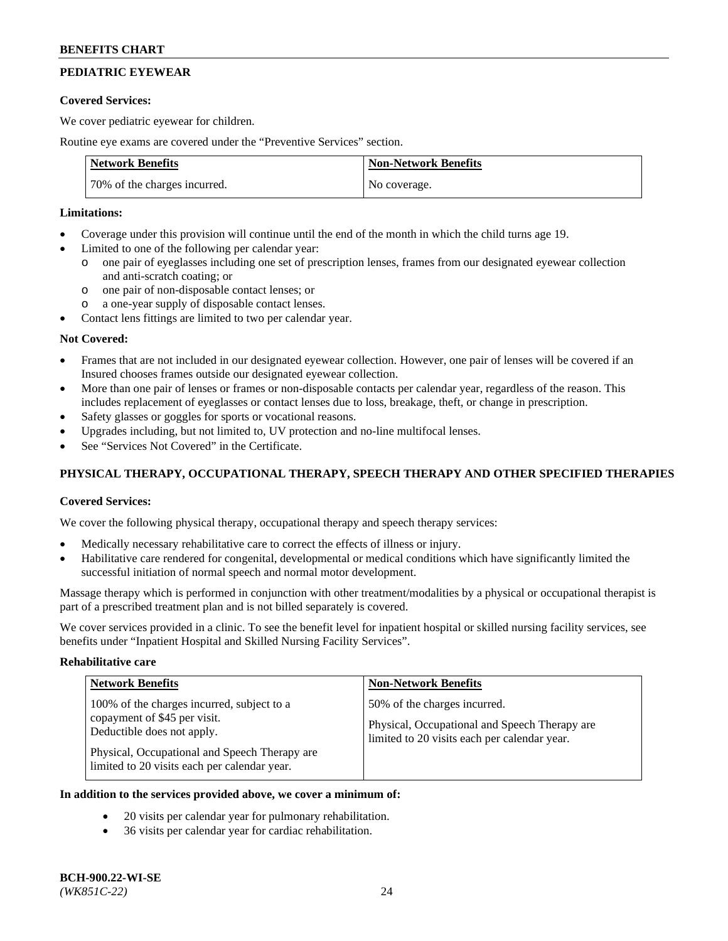# **PEDIATRIC EYEWEAR**

#### **Covered Services:**

We cover pediatric eyewear for children.

Routine eye exams are covered under the "Preventive Services" section.

| <b>Network Benefits</b>      | <b>Non-Network Benefits</b> |
|------------------------------|-----------------------------|
| 70% of the charges incurred. | No coverage.                |

#### **Limitations:**

- Coverage under this provision will continue until the end of the month in which the child turns age 19.
- Limited to one of the following per calendar year:
	- o one pair of eyeglasses including one set of prescription lenses, frames from our designated eyewear collection and anti-scratch coating; or
	- o one pair of non-disposable contact lenses; or
	- o a one-year supply of disposable contact lenses.
- Contact lens fittings are limited to two per calendar year.

## **Not Covered:**

- Frames that are not included in our designated eyewear collection. However, one pair of lenses will be covered if an Insured chooses frames outside our designated eyewear collection.
- More than one pair of lenses or frames or non-disposable contacts per calendar year, regardless of the reason. This includes replacement of eyeglasses or contact lenses due to loss, breakage, theft, or change in prescription.
- Safety glasses or goggles for sports or vocational reasons.
- Upgrades including, but not limited to, UV protection and no-line multifocal lenses.
- See "Services Not Covered" in the Certificate.

## **PHYSICAL THERAPY, OCCUPATIONAL THERAPY, SPEECH THERAPY AND OTHER SPECIFIED THERAPIES**

## **Covered Services:**

We cover the following physical therapy, occupational therapy and speech therapy services:

- Medically necessary rehabilitative care to correct the effects of illness or injury.
- Habilitative care rendered for congenital, developmental or medical conditions which have significantly limited the successful initiation of normal speech and normal motor development.

Massage therapy which is performed in conjunction with other treatment/modalities by a physical or occupational therapist is part of a prescribed treatment plan and is not billed separately is covered.

We cover services provided in a clinic. To see the benefit level for inpatient hospital or skilled nursing facility services, see benefits under "Inpatient Hospital and Skilled Nursing Facility Services".

#### **Rehabilitative care**

| <b>Network Benefits</b>                                                                                                                                                                                   | <b>Non-Network Benefits</b>                                                                                                   |
|-----------------------------------------------------------------------------------------------------------------------------------------------------------------------------------------------------------|-------------------------------------------------------------------------------------------------------------------------------|
| 100% of the charges incurred, subject to a<br>copayment of \$45 per visit.<br>Deductible does not apply.<br>Physical, Occupational and Speech Therapy are<br>limited to 20 visits each per calendar year. | 50% of the charges incurred.<br>Physical, Occupational and Speech Therapy are<br>limited to 20 visits each per calendar year. |

## **In addition to the services provided above, we cover a minimum of:**

- 20 visits per calendar year for pulmonary rehabilitation.
- 36 visits per calendar year for cardiac rehabilitation.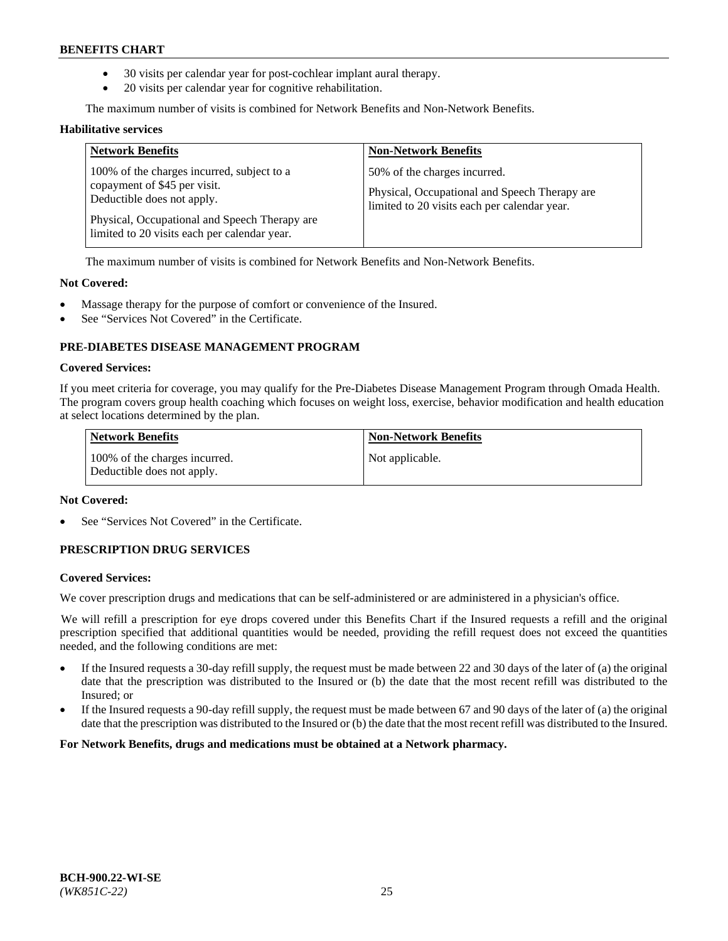- 30 visits per calendar year for post-cochlear implant aural therapy.
- 20 visits per calendar year for cognitive rehabilitation.

The maximum number of visits is combined for Network Benefits and Non-Network Benefits.

#### **Habilitative services**

| <b>Network Benefits</b>                                                                                                                                                                                   | <b>Non-Network Benefits</b>                                                                                                   |
|-----------------------------------------------------------------------------------------------------------------------------------------------------------------------------------------------------------|-------------------------------------------------------------------------------------------------------------------------------|
| 100% of the charges incurred, subject to a<br>copayment of \$45 per visit.<br>Deductible does not apply.<br>Physical, Occupational and Speech Therapy are<br>limited to 20 visits each per calendar year. | 50% of the charges incurred.<br>Physical, Occupational and Speech Therapy are<br>limited to 20 visits each per calendar year. |

The maximum number of visits is combined for Network Benefits and Non-Network Benefits.

#### **Not Covered:**

- Massage therapy for the purpose of comfort or convenience of the Insured.
- See "Services Not Covered" in the Certificate.

## **PRE-DIABETES DISEASE MANAGEMENT PROGRAM**

#### **Covered Services:**

If you meet criteria for coverage, you may qualify for the Pre-Diabetes Disease Management Program through Omada Health. The program covers group health coaching which focuses on weight loss, exercise, behavior modification and health education at select locations determined by the plan.

| <b>Network Benefits</b>                                     | <b>Non-Network Benefits</b> |
|-------------------------------------------------------------|-----------------------------|
| 100% of the charges incurred.<br>Deductible does not apply. | Not applicable.             |

## **Not Covered:**

See "Services Not Covered" in the Certificate.

## **PRESCRIPTION DRUG SERVICES**

#### **Covered Services:**

We cover prescription drugs and medications that can be self-administered or are administered in a physician's office.

We will refill a prescription for eye drops covered under this Benefits Chart if the Insured requests a refill and the original prescription specified that additional quantities would be needed, providing the refill request does not exceed the quantities needed, and the following conditions are met:

- If the Insured requests a 30-day refill supply, the request must be made between 22 and 30 days of the later of (a) the original date that the prescription was distributed to the Insured or (b) the date that the most recent refill was distributed to the Insured; or
- If the Insured requests a 90-day refill supply, the request must be made between 67 and 90 days of the later of (a) the original date that the prescription was distributed to the Insured or (b) the date that the most recent refill was distributed to the Insured.

**For Network Benefits, drugs and medications must be obtained at a Network pharmacy.**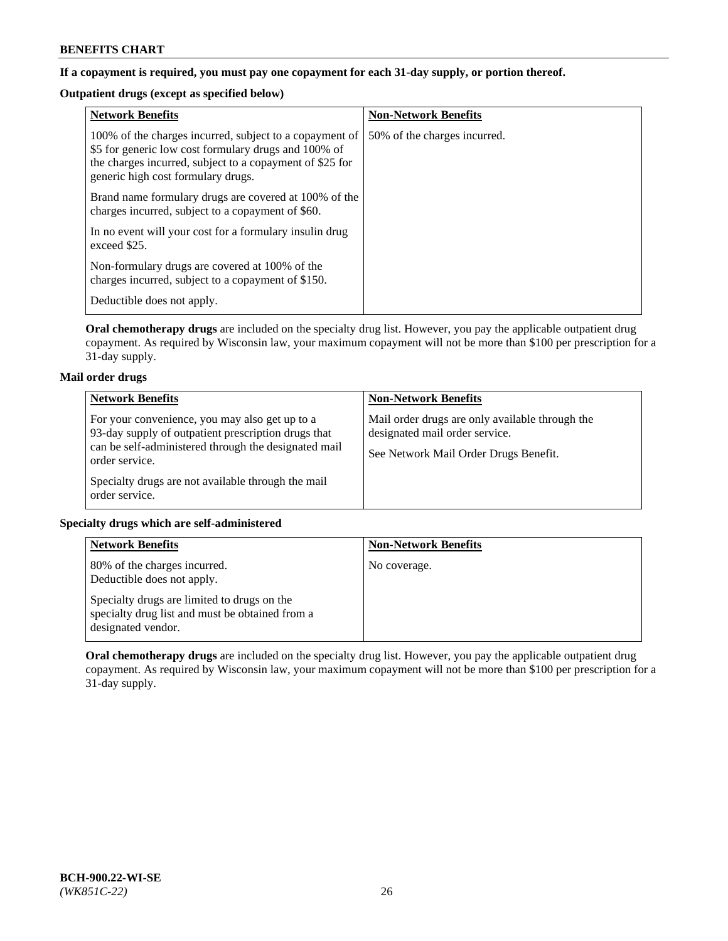## **If a copayment is required, you must pay one copayment for each 31-day supply, or portion thereof.**

# **Outpatient drugs (except as specified below)**

| <b>Network Benefits</b>                                                                                                                                                                                           | <b>Non-Network Benefits</b>  |
|-------------------------------------------------------------------------------------------------------------------------------------------------------------------------------------------------------------------|------------------------------|
| 100% of the charges incurred, subject to a copayment of<br>\$5 for generic low cost formulary drugs and 100% of<br>the charges incurred, subject to a copayment of \$25 for<br>generic high cost formulary drugs. | 50% of the charges incurred. |
| Brand name formulary drugs are covered at 100% of the<br>charges incurred, subject to a copayment of \$60.                                                                                                        |                              |
| In no event will your cost for a formulary insulin drug<br>exceed \$25.                                                                                                                                           |                              |
| Non-formulary drugs are covered at 100% of the<br>charges incurred, subject to a copayment of \$150.                                                                                                              |                              |
| Deductible does not apply.                                                                                                                                                                                        |                              |

**Oral chemotherapy drugs** are included on the specialty drug list. However, you pay the applicable outpatient drug copayment. As required by Wisconsin law, your maximum copayment will not be more than \$100 per prescription for a 31-day supply.

## **Mail order drugs**

| <b>Network Benefits</b>                                                                                                                                                         | <b>Non-Network Benefits</b>                                                                                                |
|---------------------------------------------------------------------------------------------------------------------------------------------------------------------------------|----------------------------------------------------------------------------------------------------------------------------|
| For your convenience, you may also get up to a<br>93-day supply of outpatient prescription drugs that<br>can be self-administered through the designated mail<br>order service. | Mail order drugs are only available through the<br>designated mail order service.<br>See Network Mail Order Drugs Benefit. |
| Specialty drugs are not available through the mail<br>order service.                                                                                                            |                                                                                                                            |

## **Specialty drugs which are self-administered**

| <b>Network Benefits</b>                                                                                              | <b>Non-Network Benefits</b> |
|----------------------------------------------------------------------------------------------------------------------|-----------------------------|
| 80% of the charges incurred.<br>Deductible does not apply.                                                           | No coverage.                |
| Specialty drugs are limited to drugs on the<br>specialty drug list and must be obtained from a<br>designated vendor. |                             |

**Oral chemotherapy drugs** are included on the specialty drug list. However, you pay the applicable outpatient drug copayment. As required by Wisconsin law, your maximum copayment will not be more than \$100 per prescription for a 31-day supply.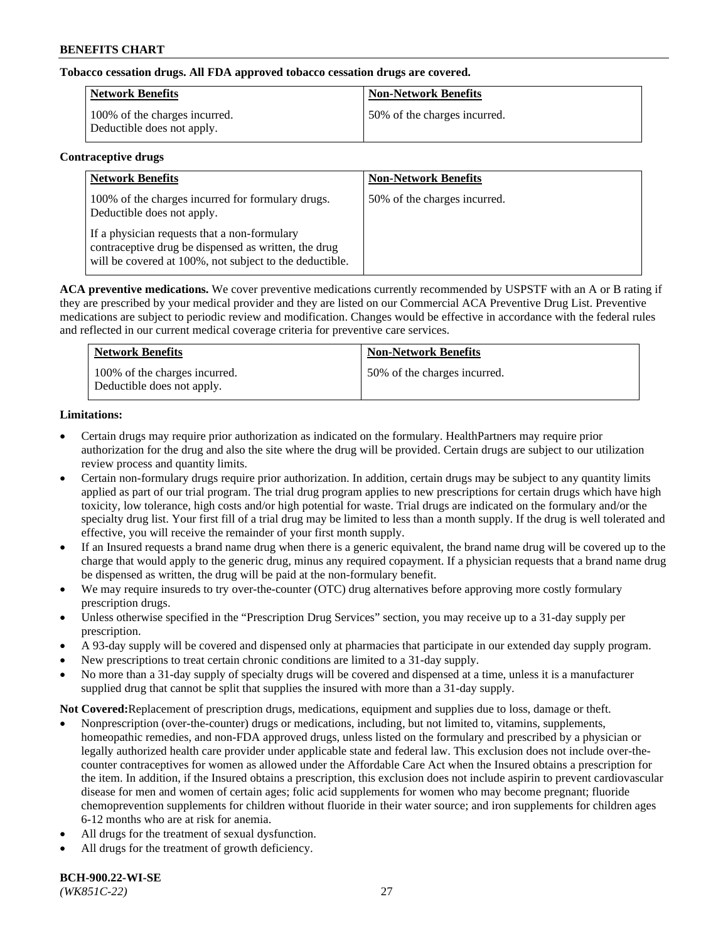## **Tobacco cessation drugs. All FDA approved tobacco cessation drugs are covered.**

| Network Benefits                                            | <b>Non-Network Benefits</b>  |
|-------------------------------------------------------------|------------------------------|
| 100% of the charges incurred.<br>Deductible does not apply. | 50% of the charges incurred. |

#### **Contraceptive drugs**

| <b>Network Benefits</b>                                                                                                                                         | <b>Non-Network Benefits</b>  |
|-----------------------------------------------------------------------------------------------------------------------------------------------------------------|------------------------------|
| 100% of the charges incurred for formulary drugs.<br>Deductible does not apply.                                                                                 | 50% of the charges incurred. |
| If a physician requests that a non-formulary<br>contraceptive drug be dispensed as written, the drug<br>will be covered at 100%, not subject to the deductible. |                              |

**ACA preventive medications.** We cover preventive medications currently recommended by USPSTF with an A or B rating if they are prescribed by your medical provider and they are listed on our Commercial ACA Preventive Drug List. Preventive medications are subject to periodic review and modification. Changes would be effective in accordance with the federal rules and reflected in our current medical coverage criteria for preventive care services.

| <b>Network Benefits</b>                                     | <b>Non-Network Benefits</b>  |
|-------------------------------------------------------------|------------------------------|
| 100% of the charges incurred.<br>Deductible does not apply. | 50% of the charges incurred. |

## **Limitations:**

- Certain drugs may require prior authorization as indicated on the formulary. HealthPartners may require prior authorization for the drug and also the site where the drug will be provided. Certain drugs are subject to our utilization review process and quantity limits.
- Certain non-formulary drugs require prior authorization. In addition, certain drugs may be subject to any quantity limits applied as part of our trial program. The trial drug program applies to new prescriptions for certain drugs which have high toxicity, low tolerance, high costs and/or high potential for waste. Trial drugs are indicated on the formulary and/or the specialty drug list. Your first fill of a trial drug may be limited to less than a month supply. If the drug is well tolerated and effective, you will receive the remainder of your first month supply.
- If an Insured requests a brand name drug when there is a generic equivalent, the brand name drug will be covered up to the charge that would apply to the generic drug, minus any required copayment. If a physician requests that a brand name drug be dispensed as written, the drug will be paid at the non-formulary benefit.
- We may require insureds to try over-the-counter (OTC) drug alternatives before approving more costly formulary prescription drugs.
- Unless otherwise specified in the "Prescription Drug Services" section, you may receive up to a 31-day supply per prescription.
- A 93-day supply will be covered and dispensed only at pharmacies that participate in our extended day supply program.
- New prescriptions to treat certain chronic conditions are limited to a 31-day supply.
- No more than a 31-day supply of specialty drugs will be covered and dispensed at a time, unless it is a manufacturer supplied drug that cannot be split that supplies the insured with more than a 31-day supply.

**Not Covered:**Replacement of prescription drugs, medications, equipment and supplies due to loss, damage or theft.

- Nonprescription (over-the-counter) drugs or medications, including, but not limited to, vitamins, supplements, homeopathic remedies, and non-FDA approved drugs, unless listed on the formulary and prescribed by a physician or legally authorized health care provider under applicable state and federal law. This exclusion does not include over-thecounter contraceptives for women as allowed under the Affordable Care Act when the Insured obtains a prescription for the item. In addition, if the Insured obtains a prescription, this exclusion does not include aspirin to prevent cardiovascular disease for men and women of certain ages; folic acid supplements for women who may become pregnant; fluoride chemoprevention supplements for children without fluoride in their water source; and iron supplements for children ages 6-12 months who are at risk for anemia.
- All drugs for the treatment of sexual dysfunction.
- All drugs for the treatment of growth deficiency.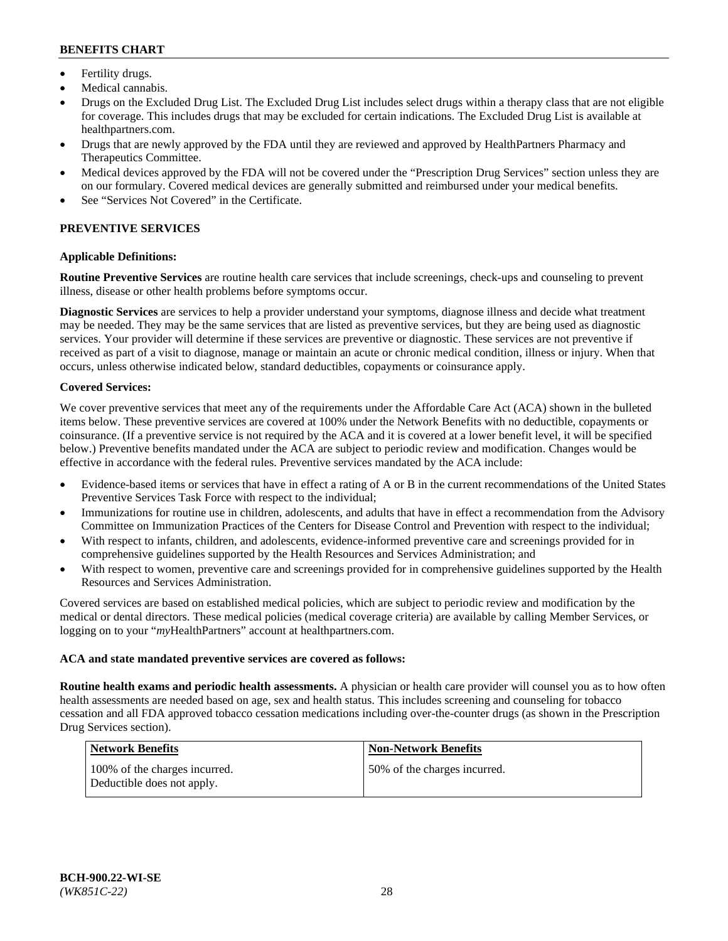- Fertility drugs.
- Medical cannabis.
- Drugs on the Excluded Drug List. The Excluded Drug List includes select drugs within a therapy class that are not eligible for coverage. This includes drugs that may be excluded for certain indications. The Excluded Drug List is available at [healthpartners.com.](http://www.healthpartners.com/)
- Drugs that are newly approved by the FDA until they are reviewed and approved by HealthPartners Pharmacy and Therapeutics Committee.
- Medical devices approved by the FDA will not be covered under the "Prescription Drug Services" section unless they are on our formulary. Covered medical devices are generally submitted and reimbursed under your medical benefits.
- See "Services Not Covered" in the Certificate.

# **PREVENTIVE SERVICES**

#### **Applicable Definitions:**

**Routine Preventive Services** are routine health care services that include screenings, check-ups and counseling to prevent illness, disease or other health problems before symptoms occur.

**Diagnostic Services** are services to help a provider understand your symptoms, diagnose illness and decide what treatment may be needed. They may be the same services that are listed as preventive services, but they are being used as diagnostic services. Your provider will determine if these services are preventive or diagnostic. These services are not preventive if received as part of a visit to diagnose, manage or maintain an acute or chronic medical condition, illness or injury. When that occurs, unless otherwise indicated below, standard deductibles, copayments or coinsurance apply.

#### **Covered Services:**

We cover preventive services that meet any of the requirements under the Affordable Care Act (ACA) shown in the bulleted items below. These preventive services are covered at 100% under the Network Benefits with no deductible, copayments or coinsurance. (If a preventive service is not required by the ACA and it is covered at a lower benefit level, it will be specified below.) Preventive benefits mandated under the ACA are subject to periodic review and modification. Changes would be effective in accordance with the federal rules. Preventive services mandated by the ACA include:

- Evidence-based items or services that have in effect a rating of A or B in the current recommendations of the United States Preventive Services Task Force with respect to the individual;
- Immunizations for routine use in children, adolescents, and adults that have in effect a recommendation from the Advisory Committee on Immunization Practices of the Centers for Disease Control and Prevention with respect to the individual;
- With respect to infants, children, and adolescents, evidence-informed preventive care and screenings provided for in comprehensive guidelines supported by the Health Resources and Services Administration; and
- With respect to women, preventive care and screenings provided for in comprehensive guidelines supported by the Health Resources and Services Administration.

Covered services are based on established medical policies, which are subject to periodic review and modification by the medical or dental directors. These medical policies (medical coverage criteria) are available by calling Member Services, or logging on to your "*my*HealthPartners" account at [healthpartners.com.](https://www.healthpartners.com/hp/index.html)

#### **ACA and state mandated preventive services are covered as follows:**

**Routine health exams and periodic health assessments.** A physician or health care provider will counsel you as to how often health assessments are needed based on age, sex and health status. This includes screening and counseling for tobacco cessation and all FDA approved tobacco cessation medications including over-the-counter drugs (as shown in the Prescription Drug Services section).

| <b>Network Benefits</b>                                     | <b>Non-Network Benefits</b>   |
|-------------------------------------------------------------|-------------------------------|
| 100% of the charges incurred.<br>Deductible does not apply. | 150% of the charges incurred. |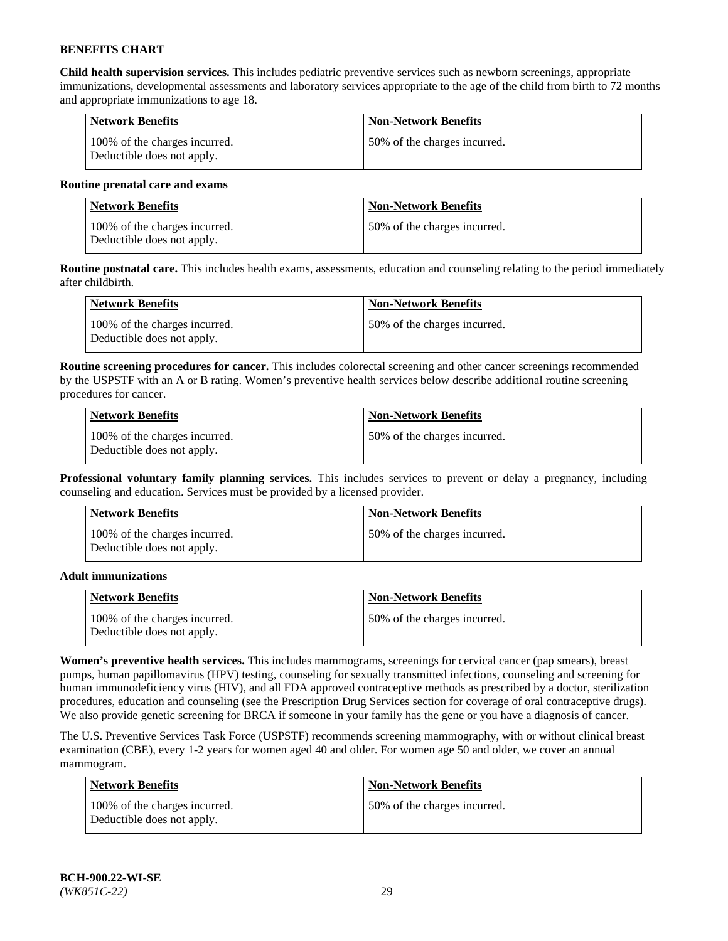**Child health supervision services.** This includes pediatric preventive services such as newborn screenings, appropriate immunizations, developmental assessments and laboratory services appropriate to the age of the child from birth to 72 months and appropriate immunizations to age 18.

| Network Benefits                                            | <b>Non-Network Benefits</b>  |
|-------------------------------------------------------------|------------------------------|
| 100% of the charges incurred.<br>Deductible does not apply. | 50% of the charges incurred. |

#### **Routine prenatal care and exams**

| Network Benefits                                            | <b>Non-Network Benefits</b>  |
|-------------------------------------------------------------|------------------------------|
| 100% of the charges incurred.<br>Deductible does not apply. | 50% of the charges incurred. |

**Routine postnatal care.** This includes health exams, assessments, education and counseling relating to the period immediately after childbirth.

| Network Benefits                                            | <b>Non-Network Benefits</b>  |
|-------------------------------------------------------------|------------------------------|
| 100% of the charges incurred.<br>Deductible does not apply. | 50% of the charges incurred. |

**Routine screening procedures for cancer.** This includes colorectal screening and other cancer screenings recommended by the USPSTF with an A or B rating. Women's preventive health services below describe additional routine screening procedures for cancer.

| <b>Network Benefits</b>                                     | <b>Non-Network Benefits</b>  |
|-------------------------------------------------------------|------------------------------|
| 100% of the charges incurred.<br>Deductible does not apply. | 50% of the charges incurred. |

**Professional voluntary family planning services.** This includes services to prevent or delay a pregnancy, including counseling and education. Services must be provided by a licensed provider.

| <b>Network Benefits</b>                                     | <b>Non-Network Benefits</b>  |
|-------------------------------------------------------------|------------------------------|
| 100% of the charges incurred.<br>Deductible does not apply. | 50% of the charges incurred. |

#### **Adult immunizations**

| <b>Network Benefits</b>                                     | <b>Non-Network Benefits</b>  |
|-------------------------------------------------------------|------------------------------|
| 100% of the charges incurred.<br>Deductible does not apply. | 50% of the charges incurred. |

**Women's preventive health services.** This includes mammograms, screenings for cervical cancer (pap smears), breast pumps, human papillomavirus (HPV) testing, counseling for sexually transmitted infections, counseling and screening for human immunodeficiency virus (HIV), and all FDA approved contraceptive methods as prescribed by a doctor, sterilization procedures, education and counseling (see the Prescription Drug Services section for coverage of oral contraceptive drugs). We also provide genetic screening for BRCA if someone in your family has the gene or you have a diagnosis of cancer.

The U.S. Preventive Services Task Force (USPSTF) recommends screening mammography, with or without clinical breast examination (CBE), every 1-2 years for women aged 40 and older. For women age 50 and older, we cover an annual mammogram.

| Network Benefits                                            | <b>Non-Network Benefits</b>  |
|-------------------------------------------------------------|------------------------------|
| 100% of the charges incurred.<br>Deductible does not apply. | 50% of the charges incurred. |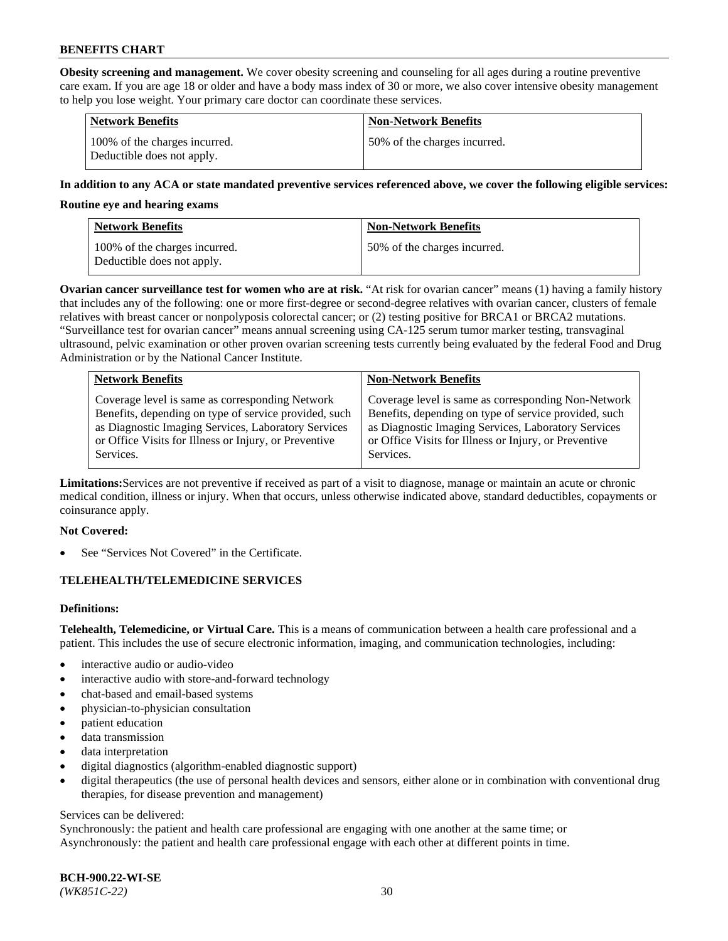**Obesity screening and management.** We cover obesity screening and counseling for all ages during a routine preventive care exam. If you are age 18 or older and have a body mass index of 30 or more, we also cover intensive obesity management to help you lose weight. Your primary care doctor can coordinate these services.

| <b>Network Benefits</b>                                     | <b>Non-Network Benefits</b>  |
|-------------------------------------------------------------|------------------------------|
| 100% of the charges incurred.<br>Deductible does not apply. | 50% of the charges incurred. |

#### **In addition to any ACA or state mandated preventive services referenced above, we cover the following eligible services:**

#### **Routine eye and hearing exams**

| <b>Network Benefits</b>                                     | <b>Non-Network Benefits</b>  |
|-------------------------------------------------------------|------------------------------|
| 100% of the charges incurred.<br>Deductible does not apply. | 50% of the charges incurred. |

**Ovarian cancer surveillance test for women who are at risk.** "At risk for ovarian cancer" means (1) having a family history that includes any of the following: one or more first-degree or second-degree relatives with ovarian cancer, clusters of female relatives with breast cancer or nonpolyposis colorectal cancer; or (2) testing positive for BRCA1 or BRCA2 mutations. "Surveillance test for ovarian cancer" means annual screening using CA-125 serum tumor marker testing, transvaginal ultrasound, pelvic examination or other proven ovarian screening tests currently being evaluated by the federal Food and Drug Administration or by the National Cancer Institute.

| <b>Network Benefits</b>                               | <b>Non-Network Benefits</b>                           |
|-------------------------------------------------------|-------------------------------------------------------|
| Coverage level is same as corresponding Network       | Coverage level is same as corresponding Non-Network   |
| Benefits, depending on type of service provided, such | Benefits, depending on type of service provided, such |
| as Diagnostic Imaging Services, Laboratory Services   | as Diagnostic Imaging Services, Laboratory Services   |
| or Office Visits for Illness or Injury, or Preventive | or Office Visits for Illness or Injury, or Preventive |
| Services.                                             | Services.                                             |

**Limitations:**Services are not preventive if received as part of a visit to diagnose, manage or maintain an acute or chronic medical condition, illness or injury. When that occurs, unless otherwise indicated above, standard deductibles, copayments or coinsurance apply.

#### **Not Covered:**

See "Services Not Covered" in the Certificate.

## **TELEHEALTH/TELEMEDICINE SERVICES**

## **Definitions:**

**Telehealth, Telemedicine, or Virtual Care.** This is a means of communication between a health care professional and a patient. This includes the use of secure electronic information, imaging, and communication technologies, including:

- interactive audio or audio-video
- interactive audio with store-and-forward technology
- chat-based and email-based systems
- physician-to-physician consultation
- patient education
- data transmission
- data interpretation
- digital diagnostics (algorithm-enabled diagnostic support)
- digital therapeutics (the use of personal health devices and sensors, either alone or in combination with conventional drug therapies, for disease prevention and management)

#### Services can be delivered:

Synchronously: the patient and health care professional are engaging with one another at the same time; or Asynchronously: the patient and health care professional engage with each other at different points in time.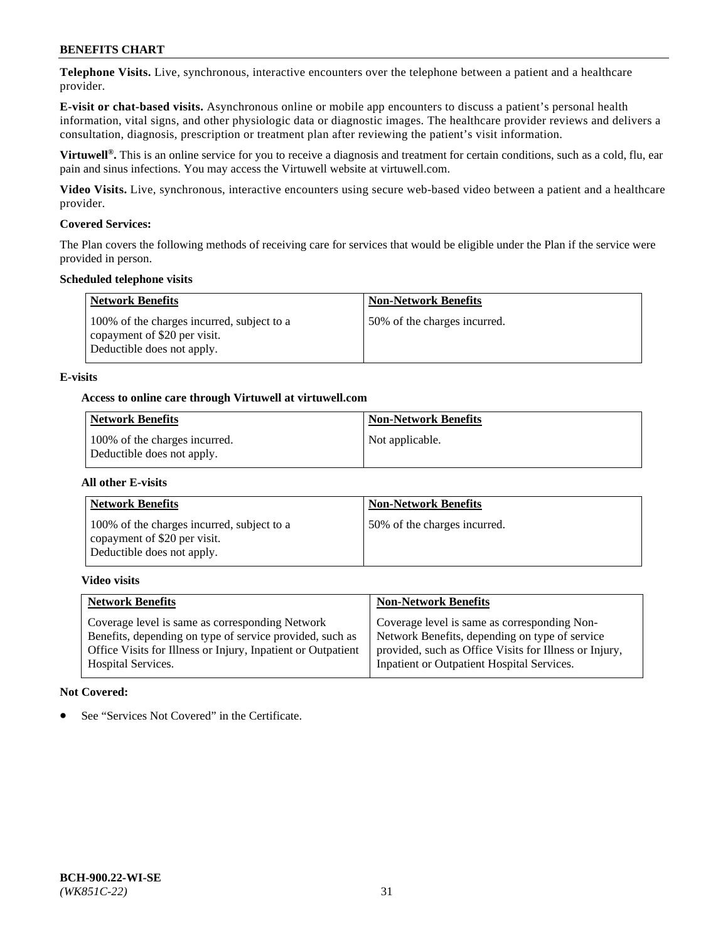**Telephone Visits.** Live, synchronous, interactive encounters over the telephone between a patient and a healthcare provider.

**E-visit or chat-based visits.** Asynchronous online or mobile app encounters to discuss a patient's personal health information, vital signs, and other physiologic data or diagnostic images. The healthcare provider reviews and delivers a consultation, diagnosis, prescription or treatment plan after reviewing the patient's visit information.

**Virtuwell®.** This is an online service for you to receive a diagnosis and treatment for certain conditions, such as a cold, flu, ear pain and sinus infections. You may access the Virtuwell website at [virtuwell.com.](https://www.virtuwell.com/)

**Video Visits.** Live, synchronous, interactive encounters using secure web-based video between a patient and a healthcare provider.

#### **Covered Services:**

The Plan covers the following methods of receiving care for services that would be eligible under the Plan if the service were provided in person.

#### **Scheduled telephone visits**

| <b>Network Benefits</b>                                                                                  | <b>Non-Network Benefits</b>  |
|----------------------------------------------------------------------------------------------------------|------------------------------|
| 100% of the charges incurred, subject to a<br>copayment of \$20 per visit.<br>Deductible does not apply. | 50% of the charges incurred. |

#### **E-visits**

#### **Access to online care through Virtuwell at [virtuwell.com](https://www.virtuwell.com/)**

| Network Benefits                                            | <b>Non-Network Benefits</b> |
|-------------------------------------------------------------|-----------------------------|
| 100% of the charges incurred.<br>Deductible does not apply. | Not applicable.             |

#### **All other E-visits**

| <b>Network Benefits</b>                                                                                  | <b>Non-Network Benefits</b>  |
|----------------------------------------------------------------------------------------------------------|------------------------------|
| 100% of the charges incurred, subject to a<br>copayment of \$20 per visit.<br>Deductible does not apply. | 50% of the charges incurred. |

#### **Video visits**

| <b>Network Benefits</b>                                      | <b>Non-Network Benefits</b>                            |
|--------------------------------------------------------------|--------------------------------------------------------|
| Coverage level is same as corresponding Network              | Coverage level is same as corresponding Non-           |
| Benefits, depending on type of service provided, such as     | Network Benefits, depending on type of service         |
| Office Visits for Illness or Injury, Inpatient or Outpatient | provided, such as Office Visits for Illness or Injury, |
| Hospital Services.                                           | Inpatient or Outpatient Hospital Services.             |

#### **Not Covered:**

See "Services Not Covered" in the Certificate.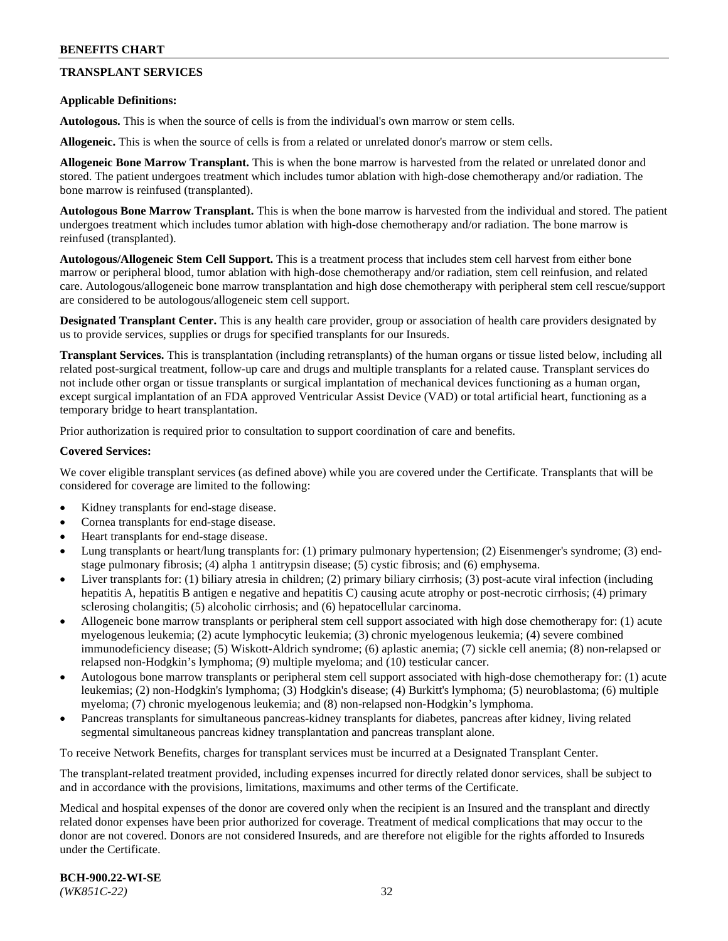## **TRANSPLANT SERVICES**

#### **Applicable Definitions:**

**Autologous.** This is when the source of cells is from the individual's own marrow or stem cells.

**Allogeneic.** This is when the source of cells is from a related or unrelated donor's marrow or stem cells.

**Allogeneic Bone Marrow Transplant.** This is when the bone marrow is harvested from the related or unrelated donor and stored. The patient undergoes treatment which includes tumor ablation with high-dose chemotherapy and/or radiation. The bone marrow is reinfused (transplanted).

**Autologous Bone Marrow Transplant.** This is when the bone marrow is harvested from the individual and stored. The patient undergoes treatment which includes tumor ablation with high-dose chemotherapy and/or radiation. The bone marrow is reinfused (transplanted).

**Autologous/Allogeneic Stem Cell Support.** This is a treatment process that includes stem cell harvest from either bone marrow or peripheral blood, tumor ablation with high-dose chemotherapy and/or radiation, stem cell reinfusion, and related care. Autologous/allogeneic bone marrow transplantation and high dose chemotherapy with peripheral stem cell rescue/support are considered to be autologous/allogeneic stem cell support.

**Designated Transplant Center.** This is any health care provider, group or association of health care providers designated by us to provide services, supplies or drugs for specified transplants for our Insureds.

**Transplant Services.** This is transplantation (including retransplants) of the human organs or tissue listed below, including all related post-surgical treatment, follow-up care and drugs and multiple transplants for a related cause. Transplant services do not include other organ or tissue transplants or surgical implantation of mechanical devices functioning as a human organ, except surgical implantation of an FDA approved Ventricular Assist Device (VAD) or total artificial heart, functioning as a temporary bridge to heart transplantation.

Prior authorization is required prior to consultation to support coordination of care and benefits.

#### **Covered Services:**

We cover eligible transplant services (as defined above) while you are covered under the Certificate. Transplants that will be considered for coverage are limited to the following:

- Kidney transplants for end-stage disease.
- Cornea transplants for end-stage disease.
- Heart transplants for end-stage disease.
- Lung transplants or heart/lung transplants for: (1) primary pulmonary hypertension; (2) Eisenmenger's syndrome; (3) endstage pulmonary fibrosis; (4) alpha 1 antitrypsin disease; (5) cystic fibrosis; and (6) emphysema.
- Liver transplants for: (1) biliary atresia in children; (2) primary biliary cirrhosis; (3) post-acute viral infection (including hepatitis A, hepatitis B antigen e negative and hepatitis C) causing acute atrophy or post-necrotic cirrhosis; (4) primary sclerosing cholangitis; (5) alcoholic cirrhosis; and (6) hepatocellular carcinoma.
- Allogeneic bone marrow transplants or peripheral stem cell support associated with high dose chemotherapy for: (1) acute myelogenous leukemia; (2) acute lymphocytic leukemia; (3) chronic myelogenous leukemia; (4) severe combined immunodeficiency disease; (5) Wiskott-Aldrich syndrome; (6) aplastic anemia; (7) sickle cell anemia; (8) non-relapsed or relapsed non-Hodgkin's lymphoma; (9) multiple myeloma; and (10) testicular cancer.
- Autologous bone marrow transplants or peripheral stem cell support associated with high-dose chemotherapy for: (1) acute leukemias; (2) non-Hodgkin's lymphoma; (3) Hodgkin's disease; (4) Burkitt's lymphoma; (5) neuroblastoma; (6) multiple myeloma; (7) chronic myelogenous leukemia; and (8) non-relapsed non-Hodgkin's lymphoma.
- Pancreas transplants for simultaneous pancreas-kidney transplants for diabetes, pancreas after kidney, living related segmental simultaneous pancreas kidney transplantation and pancreas transplant alone.

To receive Network Benefits, charges for transplant services must be incurred at a Designated Transplant Center.

The transplant-related treatment provided, including expenses incurred for directly related donor services, shall be subject to and in accordance with the provisions, limitations, maximums and other terms of the Certificate.

Medical and hospital expenses of the donor are covered only when the recipient is an Insured and the transplant and directly related donor expenses have been prior authorized for coverage. Treatment of medical complications that may occur to the donor are not covered. Donors are not considered Insureds, and are therefore not eligible for the rights afforded to Insureds under the Certificate.